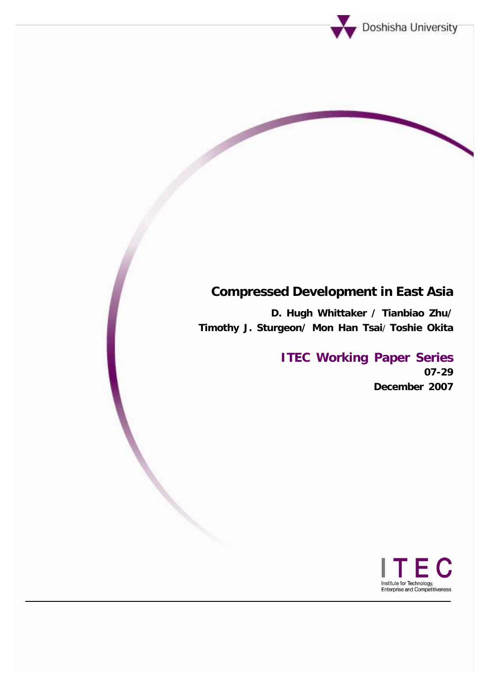

# **Compressed Development in East Asia**

**D. Hugh Whittaker / Tianbiao Zhu/ Timothy J. Sturgeon/ Mon Han Tsai**/ **Toshie Okita**

## **ITEC Working Paper Series 07-29 December 2007**

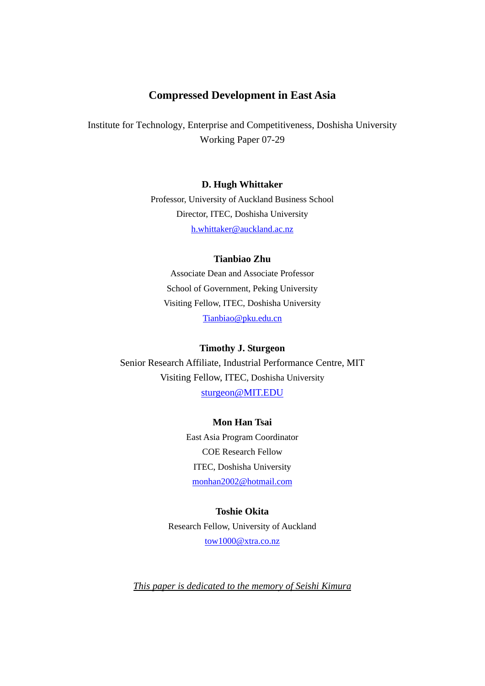## **Compressed Development in East Asia**

Institute for Technology, Enterprise and Competitiveness, Doshisha University Working Paper 07-29

## **D. Hugh Whittaker**

Professor, University of Auckland Business School Director, ITEC, Doshisha University [h.whittaker@auckland.ac.nz](mailto:h.whittaker@auckland.ac.nz)

## **Tianbiao Zhu**

Associate Dean and Associate Professor School of Government, Peking University Visiting Fellow, ITEC, Doshisha University [Tianbiao@pku.edu.cn](mailto:Tianbiao@pku.edu.cn)

#### **Timothy J. Sturgeon**

Senior Research Affiliate, Industrial Performance Centre, MIT Visiting Fellow, ITEC, Doshisha University [sturgeon@MIT.EDU](mailto:sturgeon@MIT.EDU)

#### **Mon Han Tsai**

East Asia Program Coordinator COE Research Fellow ITEC, Doshisha University [monhan2002@hotmail.com](mailto:monhan2002@hotmail.com)

## **Toshie Okita**  Research Fellow, University of Auckland [tow1000@xtra.co.nz](mailto:tow1000@xtra.co.nz)

*This paper is dedicated to the memory of Seishi Kimura*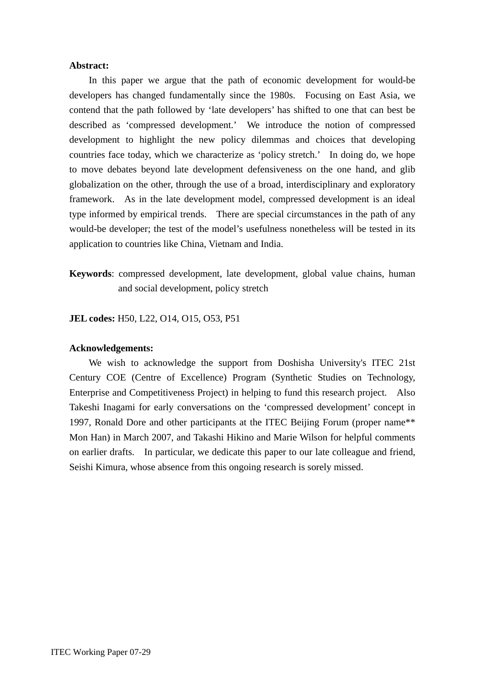## **Abstract:**

In this paper we argue that the path of economic development for would-be developers has changed fundamentally since the 1980s. Focusing on East Asia, we contend that the path followed by 'late developers' has shifted to one that can best be described as 'compressed development.' We introduce the notion of compressed development to highlight the new policy dilemmas and choices that developing countries face today, which we characterize as 'policy stretch.' In doing do, we hope to move debates beyond late development defensiveness on the one hand, and glib globalization on the other, through the use of a broad, interdisciplinary and exploratory framework. As in the late development model, compressed development is an ideal type informed by empirical trends. There are special circumstances in the path of any would-be developer; the test of the model's usefulness nonetheless will be tested in its application to countries like China, Vietnam and India.

**Keywords**: compressed development, late development, global value chains, human and social development, policy stretch

**JEL codes:** H50, L22, O14, O15, O53, P51

#### **Acknowledgements:**

We wish to acknowledge the support from Doshisha University's ITEC 21st Century COE (Centre of Excellence) Program (Synthetic Studies on Technology, Enterprise and Competitiveness Project) in helping to fund this research project. Also Takeshi Inagami for early conversations on the 'compressed development' concept in 1997, Ronald Dore and other participants at the ITEC Beijing Forum (proper name\*\* Mon Han) in March 2007, and Takashi Hikino and Marie Wilson for helpful comments on earlier drafts. In particular, we dedicate this paper to our late colleague and friend, Seishi Kimura, whose absence from this ongoing research is sorely missed.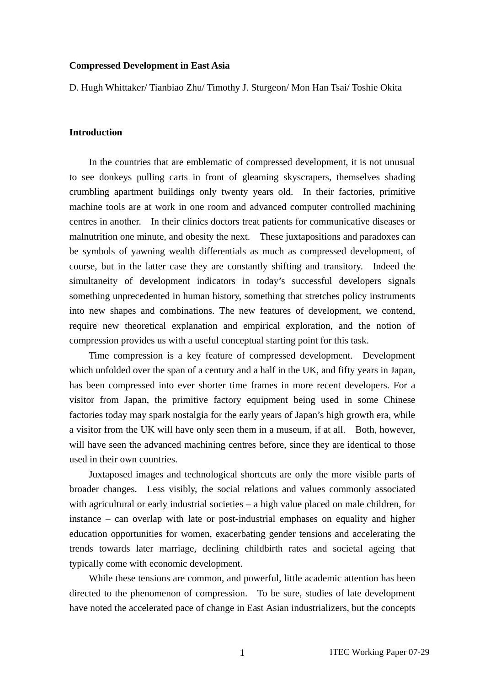#### **Compressed Development in East Asia**

D. Hugh Whittaker/ Tianbiao Zhu/ Timothy J. Sturgeon/ Mon Han Tsai/ Toshie Okita

## **Introduction**

In the countries that are emblematic of compressed development, it is not unusual to see donkeys pulling carts in front of gleaming skyscrapers, themselves shading crumbling apartment buildings only twenty years old. In their factories, primitive machine tools are at work in one room and advanced computer controlled machining centres in another. In their clinics doctors treat patients for communicative diseases or malnutrition one minute, and obesity the next. These juxtapositions and paradoxes can be symbols of yawning wealth differentials as much as compressed development, of course, but in the latter case they are constantly shifting and transitory. Indeed the simultaneity of development indicators in today's successful developers signals something unprecedented in human history, something that stretches policy instruments into new shapes and combinations. The new features of development, we contend, require new theoretical explanation and empirical exploration, and the notion of compression provides us with a useful conceptual starting point for this task.

Time compression is a key feature of compressed development. Development which unfolded over the span of a century and a half in the UK, and fifty years in Japan, has been compressed into ever shorter time frames in more recent developers. For a visitor from Japan, the primitive factory equipment being used in some Chinese factories today may spark nostalgia for the early years of Japan's high growth era, while a visitor from the UK will have only seen them in a museum, if at all. Both, however, will have seen the advanced machining centres before, since they are identical to those used in their own countries.

Juxtaposed images and technological shortcuts are only the more visible parts of broader changes. Less visibly, the social relations and values commonly associated with agricultural or early industrial societies – a high value placed on male children, for instance – can overlap with late or post-industrial emphases on equality and higher education opportunities for women, exacerbating gender tensions and accelerating the trends towards later marriage, declining childbirth rates and societal ageing that typically come with economic development.

While these tensions are common, and powerful, little academic attention has been directed to the phenomenon of compression. To be sure, studies of late development have noted the accelerated pace of change in East Asian industrializers, but the concepts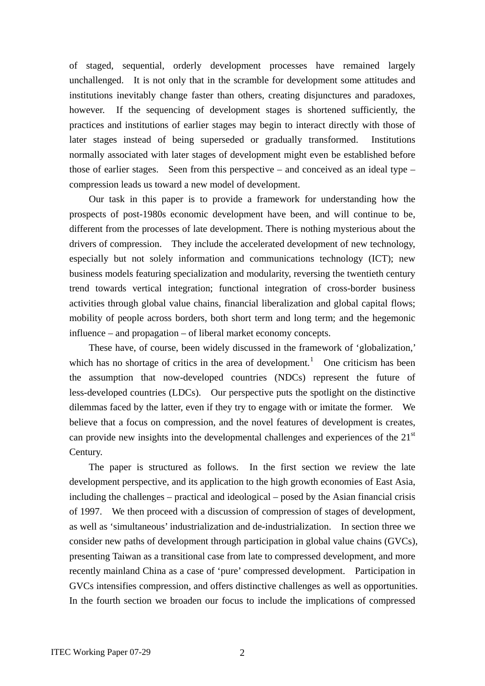of staged, sequential, orderly development processes have remained largely unchallenged. It is not only that in the scramble for development some attitudes and institutions inevitably change faster than others, creating disjunctures and paradoxes, however. If the sequencing of development stages is shortened sufficiently, the practices and institutions of earlier stages may begin to interact directly with those of later stages instead of being superseded or gradually transformed. Institutions normally associated with later stages of development might even be established before those of earlier stages. Seen from this perspective – and conceived as an ideal type – compression leads us toward a new model of development.

Our task in this paper is to provide a framework for understanding how the prospects of post-1980s economic development have been, and will continue to be, different from the processes of late development. There is nothing mysterious about the drivers of compression. They include the accelerated development of new technology, especially but not solely information and communications technology (ICT); new business models featuring specialization and modularity, reversing the twentieth century trend towards vertical integration; functional integration of cross-border business activities through global value chains, financial liberalization and global capital flows; mobility of people across borders, both short term and long term; and the hegemonic influence – and propagation – of liberal market economy concepts.

These have, of course, been widely discussed in the framework of 'globalization,' which has no shortage of critics in the area of development.<sup>[1](#page-38-0)</sup> One criticism has been the assumption that now-developed countries (NDCs) represent the future of less-developed countries (LDCs). Our perspective puts the spotlight on the distinctive dilemmas faced by the latter, even if they try to engage with or imitate the former. We believe that a focus on compression, and the novel features of development is creates, can provide new insights into the developmental challenges and experiences of the  $21<sup>st</sup>$ Century.

The paper is structured as follows. In the first section we review the late development perspective, and its application to the high growth economies of East Asia, including the challenges – practical and ideological – posed by the Asian financial crisis of 1997. We then proceed with a discussion of compression of stages of development, as well as 'simultaneous' industrialization and de-industrialization. In section three we consider new paths of development through participation in global value chains (GVCs), presenting Taiwan as a transitional case from late to compressed development, and more recently mainland China as a case of 'pure' compressed development. Participation in GVCs intensifies compression, and offers distinctive challenges as well as opportunities. In the fourth section we broaden our focus to include the implications of compressed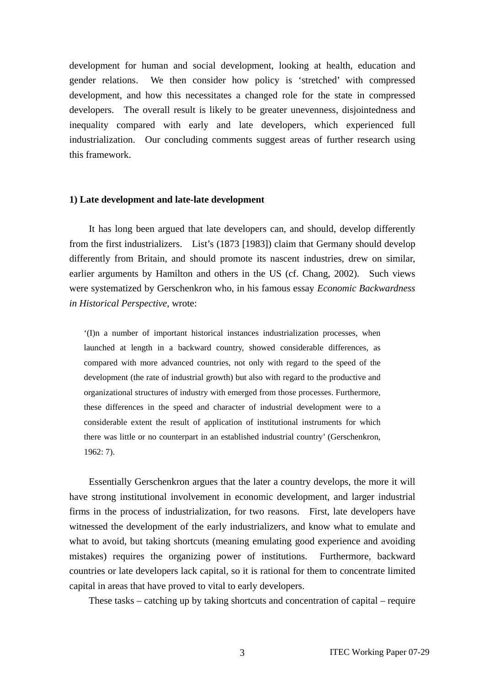development for human and social development, looking at health, education and gender relations. We then consider how policy is 'stretched' with compressed development, and how this necessitates a changed role for the state in compressed developers. The overall result is likely to be greater unevenness, disjointedness and inequality compared with early and late developers, which experienced full industrialization. Our concluding comments suggest areas of further research using this framework.

#### **1) Late development and late-late development**

It has long been argued that late developers can, and should, develop differently from the first industrializers. List's (1873 [1983]) claim that Germany should develop differently from Britain, and should promote its nascent industries, drew on similar, earlier arguments by Hamilton and others in the US (cf. Chang, 2002). Such views were systematized by Gerschenkron who, in his famous essay *Economic Backwardness in Historical Perspective*, wrote:

'(I)n a number of important historical instances industrialization processes, when launched at length in a backward country, showed considerable differences, as compared with more advanced countries, not only with regard to the speed of the development (the rate of industrial growth) but also with regard to the productive and organizational structures of industry with emerged from those processes. Furthermore, these differences in the speed and character of industrial development were to a considerable extent the result of application of institutional instruments for which there was little or no counterpart in an established industrial country' (Gerschenkron, 1962: 7).

Essentially Gerschenkron argues that the later a country develops, the more it will have strong institutional involvement in economic development, and larger industrial firms in the process of industrialization, for two reasons. First, late developers have witnessed the development of the early industrializers, and know what to emulate and what to avoid, but taking shortcuts (meaning emulating good experience and avoiding mistakes) requires the organizing power of institutions. Furthermore, backward countries or late developers lack capital, so it is rational for them to concentrate limited capital in areas that have proved to vital to early developers.

These tasks – catching up by taking shortcuts and concentration of capital – require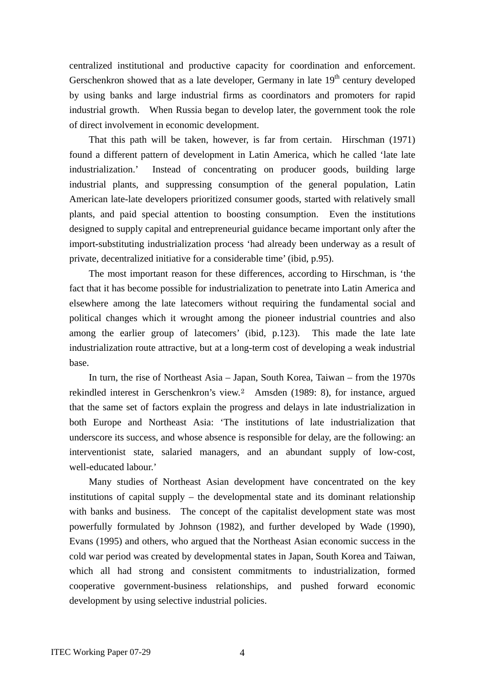centralized institutional and productive capacity for coordination and enforcement. Gerschenkron showed that as a late developer, Germany in late  $19<sup>th</sup>$  century developed by using banks and large industrial firms as coordinators and promoters for rapid industrial growth. When Russia began to develop later, the government took the role of direct involvement in economic development.

That this path will be taken, however, is far from certain. Hirschman (1971) found a different pattern of development in Latin America, which he called 'late late industrialization.' Instead of concentrating on producer goods, building large industrial plants, and suppressing consumption of the general population, Latin American late-late developers prioritized consumer goods, started with relatively small plants, and paid special attention to boosting consumption. Even the institutions designed to supply capital and entrepreneurial guidance became important only after the import-substituting industrialization process 'had already been underway as a result of private, decentralized initiative for a considerable time' (ibid, p.95).

The most important reason for these differences, according to Hirschman, is 'the fact that it has become possible for industrialization to penetrate into Latin America and elsewhere among the late latecomers without requiring the fundamental social and political changes which it wrought among the pioneer industrial countries and also among the earlier group of latecomers' (ibid, p.123). This made the late late industrialization route attractive, but at a long-term cost of developing a weak industrial base.

In turn, the rise of Northeast Asia – Japan, South Korea, Taiwan – from the 1970s rekindled interest in Gerschenkron's view.[2](#page-38-1) Amsden (1989: 8), for instance, argued that the same set of factors explain the progress and delays in late industrialization in both Europe and Northeast Asia: 'The institutions of late industrialization that underscore its success, and whose absence is responsible for delay, are the following: an interventionist state, salaried managers, and an abundant supply of low-cost, well-educated labour.'

Many studies of Northeast Asian development have concentrated on the key institutions of capital supply – the developmental state and its dominant relationship with banks and business. The concept of the capitalist development state was most powerfully formulated by Johnson (1982), and further developed by Wade (1990), Evans (1995) and others, who argued that the Northeast Asian economic success in the cold war period was created by developmental states in Japan, South Korea and Taiwan, which all had strong and consistent commitments to industrialization, formed cooperative government-business relationships, and pushed forward economic development by using selective industrial policies.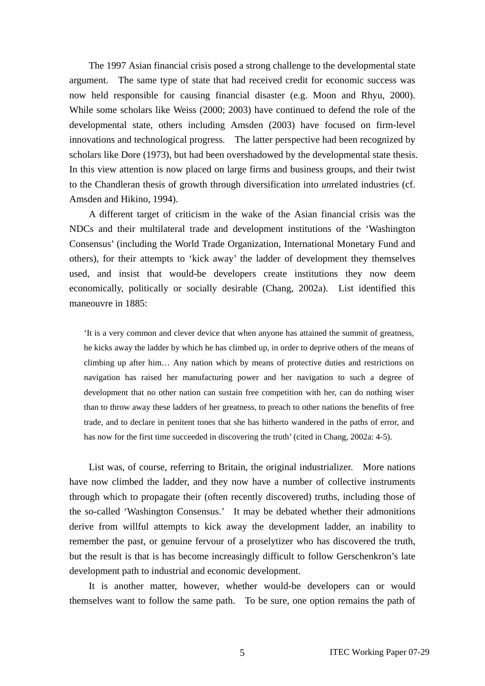The 1997 Asian financial crisis posed a strong challenge to the developmental state argument. The same type of state that had received credit for economic success was now held responsible for causing financial disaster (e.g. Moon and Rhyu, 2000). While some scholars like Weiss (2000; 2003) have continued to defend the role of the developmental state, others including Amsden (2003) have focused on firm-level innovations and technological progress. The latter perspective had been recognized by scholars like Dore (1973), but had been overshadowed by the developmental state thesis. In this view attention is now placed on large firms and business groups, and their twist to the Chandleran thesis of growth through diversification into *un*related industries (cf. Amsden and Hikino, 1994).

A different target of criticism in the wake of the Asian financial crisis was the NDCs and their multilateral trade and development institutions of the 'Washington Consensus' (including the World Trade Organization, International Monetary Fund and others), for their attempts to 'kick away' the ladder of development they themselves used, and insist that would-be developers create institutions they now deem economically, politically or socially desirable (Chang, 2002a). List identified this maneouvre in 1885:

'It is a very common and clever device that when anyone has attained the summit of greatness, he kicks away the ladder by which he has climbed up, in order to deprive others of the means of climbing up after him… Any nation which by means of protective duties and restrictions on navigation has raised her manufacturing power and her navigation to such a degree of development that no other nation can sustain free competition with her, can do nothing wiser than to throw away these ladders of her greatness, to preach to other nations the benefits of free trade, and to declare in penitent tones that she has hitherto wandered in the paths of error, and has now for the first time succeeded in discovering the truth' (cited in Chang, 2002a: 4-5).

List was, of course, referring to Britain, the original industrializer. More nations have now climbed the ladder, and they now have a number of collective instruments through which to propagate their (often recently discovered) truths, including those of the so-called 'Washington Consensus.' It may be debated whether their admonitions derive from willful attempts to kick away the development ladder, an inability to remember the past, or genuine fervour of a proselytizer who has discovered the truth, but the result is that is has become increasingly difficult to follow Gerschenkron's late development path to industrial and economic development.

It is another matter, however, whether would-be developers can or would themselves want to follow the same path. To be sure, one option remains the path of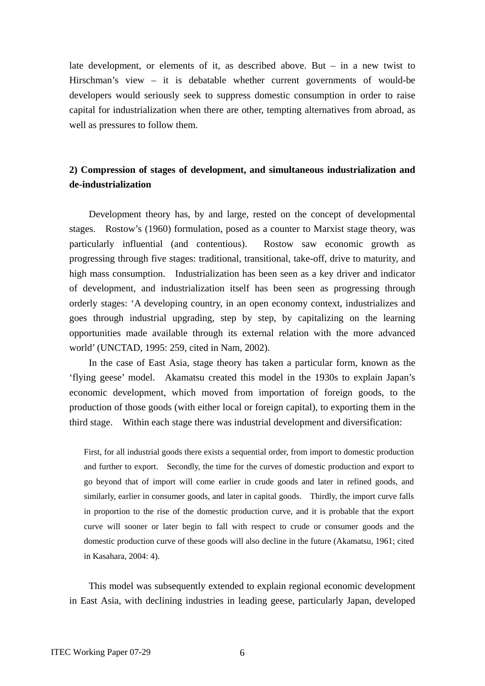late development, or elements of it, as described above. But – in a new twist to Hirschman's view – it is debatable whether current governments of would-be developers would seriously seek to suppress domestic consumption in order to raise capital for industrialization when there are other, tempting alternatives from abroad, as well as pressures to follow them.

## **2) Compression of stages of development, and simultaneous industrialization and de-industrialization**

Development theory has, by and large, rested on the concept of developmental stages. Rostow's (1960) formulation, posed as a counter to Marxist stage theory, was particularly influential (and contentious). Rostow saw economic growth as progressing through five stages: traditional, transitional, take-off, drive to maturity, and high mass consumption. Industrialization has been seen as a key driver and indicator of development, and industrialization itself has been seen as progressing through orderly stages: 'A developing country, in an open economy context, industrializes and goes through industrial upgrading, step by step, by capitalizing on the learning opportunities made available through its external relation with the more advanced world' (UNCTAD, 1995: 259, cited in Nam, 2002).

In the case of East Asia, stage theory has taken a particular form, known as the 'flying geese' model. Akamatsu created this model in the 1930s to explain Japan's economic development, which moved from importation of foreign goods, to the production of those goods (with either local or foreign capital), to exporting them in the third stage. Within each stage there was industrial development and diversification:

First, for all industrial goods there exists a sequential order, from import to domestic production and further to export. Secondly, the time for the curves of domestic production and export to go beyond that of import will come earlier in crude goods and later in refined goods, and similarly, earlier in consumer goods, and later in capital goods. Thirdly, the import curve falls in proportion to the rise of the domestic production curve, and it is probable that the export curve will sooner or later begin to fall with respect to crude or consumer goods and the domestic production curve of these goods will also decline in the future (Akamatsu, 1961; cited in Kasahara, 2004: 4).

This model was subsequently extended to explain regional economic development in East Asia, with declining industries in leading geese, particularly Japan, developed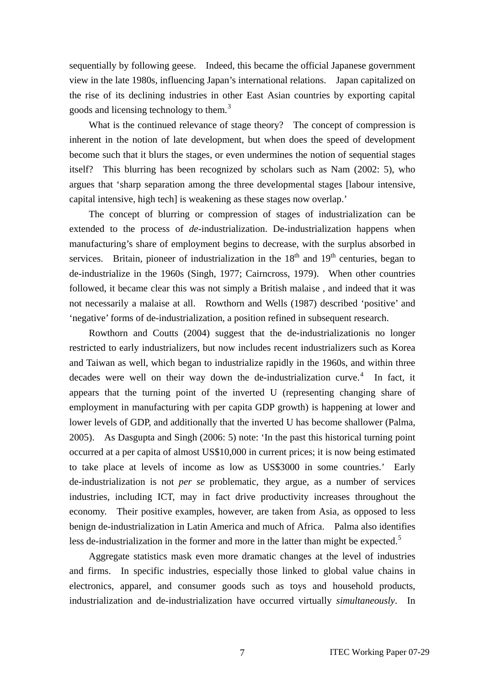sequentially by following geese. Indeed, this became the official Japanese government view in the late 1980s, influencing Japan's international relations. Japan capitalized on the rise of its declining industries in other East Asian countries by exporting capital goods and licensing technology to them.<sup>[3](#page-38-1)</sup>

What is the continued relevance of stage theory? The concept of compression is inherent in the notion of late development, but when does the speed of development become such that it blurs the stages, or even undermines the notion of sequential stages itself? This blurring has been recognized by scholars such as Nam (2002: 5), who argues that 'sharp separation among the three developmental stages [labour intensive, capital intensive, high tech] is weakening as these stages now overlap.'

The concept of blurring or compression of stages of industrialization can be extended to the process of *de*-industrialization. De-industrialization happens when manufacturing's share of employment begins to decrease, with the surplus absorbed in services. Britain, pioneer of industrialization in the  $18<sup>th</sup>$  and  $19<sup>th</sup>$  centuries, began to de-industrialize in the 1960s (Singh, 1977; Cairncross, 1979). When other countries followed, it became clear this was not simply a British malaise , and indeed that it was not necessarily a malaise at all. Rowthorn and Wells (1987) described 'positive' and 'negative' forms of de-industrialization, a position refined in subsequent research.

Rowthorn and Coutts (2004) suggest that the de-industrializationis no longer restricted to early industrializers, but now includes recent industrializers such as Korea and Taiwan as well, which began to industrialize rapidly in the 1960s, and within three decades were well on their way down the de-industrialization curve.<sup>[4](#page-38-1)</sup> In fact, it appears that the turning point of the inverted U (representing changing share of employment in manufacturing with per capita GDP growth) is happening at lower and lower levels of GDP, and additionally that the inverted U has become shallower (Palma, 2005). As Dasgupta and Singh (2006: 5) note: 'In the past this historical turning point occurred at a per capita of almost US\$10,000 in current prices; it is now being estimated to take place at levels of income as low as US\$3000 in some countries.' Early de-industrialization is not *per se* problematic, they argue, as a number of services industries, including ICT, may in fact drive productivity increases throughout the economy. Their positive examples, however, are taken from Asia, as opposed to less benign de-industrialization in Latin America and much of Africa. Palma also identifies less de-industrialization in the former and more in the latter than might be expected.<sup>[5](#page-38-1)</sup>

Aggregate statistics mask even more dramatic changes at the level of industries and firms. In specific industries, especially those linked to global value chains in electronics, apparel, and consumer goods such as toys and household products, industrialization and de-industrialization have occurred virtually *simultaneously*. In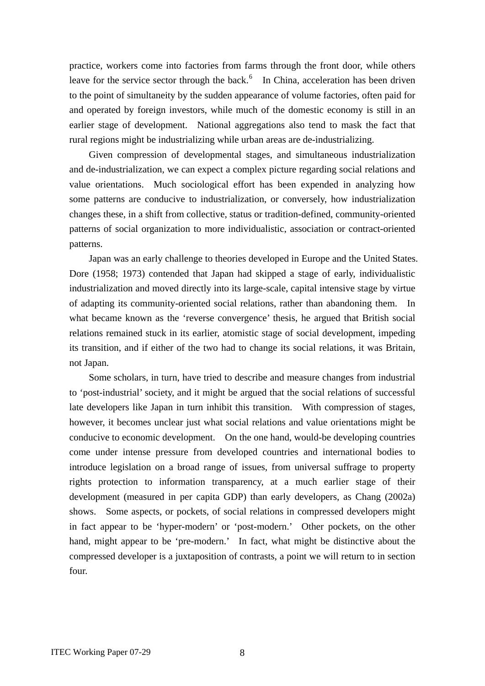practice, workers come into factories from farms through the front door, while others leave for the service sector through the back. $<sup>6</sup>$  $<sup>6</sup>$  $<sup>6</sup>$  In China, acceleration has been driven</sup> to the point of simultaneity by the sudden appearance of volume factories, often paid for and operated by foreign investors, while much of the domestic economy is still in an earlier stage of development. National aggregations also tend to mask the fact that rural regions might be industrializing while urban areas are de-industrializing.

Given compression of developmental stages, and simultaneous industrialization and de-industrialization, we can expect a complex picture regarding social relations and value orientations. Much sociological effort has been expended in analyzing how some patterns are conducive to industrialization, or conversely, how industrialization changes these, in a shift from collective, status or tradition-defined, community-oriented patterns of social organization to more individualistic, association or contract-oriented patterns.

Japan was an early challenge to theories developed in Europe and the United States. Dore (1958; 1973) contended that Japan had skipped a stage of early, individualistic industrialization and moved directly into its large-scale, capital intensive stage by virtue of adapting its community-oriented social relations, rather than abandoning them. In what became known as the 'reverse convergence' thesis, he argued that British social relations remained stuck in its earlier, atomistic stage of social development, impeding its transition, and if either of the two had to change its social relations, it was Britain, not Japan.

Some scholars, in turn, have tried to describe and measure changes from industrial to 'post-industrial' society, and it might be argued that the social relations of successful late developers like Japan in turn inhibit this transition. With compression of stages, however, it becomes unclear just what social relations and value orientations might be conducive to economic development. On the one hand, would-be developing countries come under intense pressure from developed countries and international bodies to introduce legislation on a broad range of issues, from universal suffrage to property rights protection to information transparency, at a much earlier stage of their development (measured in per capita GDP) than early developers, as Chang (2002a) shows. Some aspects, or pockets, of social relations in compressed developers might in fact appear to be 'hyper-modern' or 'post-modern.' Other pockets, on the other hand, might appear to be 'pre-modern.' In fact, what might be distinctive about the compressed developer is a juxtaposition of contrasts, a point we will return to in section four.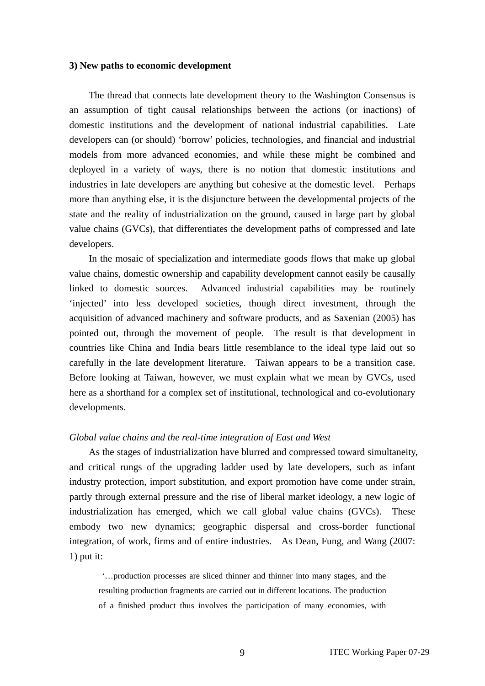#### **3) New paths to economic development**

The thread that connects late development theory to the Washington Consensus is an assumption of tight causal relationships between the actions (or inactions) of domestic institutions and the development of national industrial capabilities. Late developers can (or should) 'borrow' policies, technologies, and financial and industrial models from more advanced economies, and while these might be combined and deployed in a variety of ways, there is no notion that domestic institutions and industries in late developers are anything but cohesive at the domestic level. Perhaps more than anything else, it is the disjuncture between the developmental projects of the state and the reality of industrialization on the ground, caused in large part by global value chains (GVCs), that differentiates the development paths of compressed and late developers.

In the mosaic of specialization and intermediate goods flows that make up global value chains, domestic ownership and capability development cannot easily be causally linked to domestic sources. Advanced industrial capabilities may be routinely 'injected' into less developed societies, though direct investment, through the acquisition of advanced machinery and software products, and as Saxenian (2005) has pointed out, through the movement of people. The result is that development in countries like China and India bears little resemblance to the ideal type laid out so carefully in the late development literature. Taiwan appears to be a transition case. Before looking at Taiwan, however, we must explain what we mean by GVCs, used here as a shorthand for a complex set of institutional, technological and co-evolutionary developments.

#### *Global value chains and the real-time integration of East and West*

As the stages of industrialization have blurred and compressed toward simultaneity, and critical rungs of the upgrading ladder used by late developers, such as infant industry protection, import substitution, and export promotion have come under strain, partly through external pressure and the rise of liberal market ideology, a new logic of industrialization has emerged, which we call global value chains (GVCs). These embody two new dynamics; geographic dispersal and cross-border functional integration, of work, firms and of entire industries. As Dean, Fung, and Wang (2007: 1) put it:

 '…production processes are sliced thinner and thinner into many stages, and the resulting production fragments are carried out in different locations. The production of a finished product thus involves the participation of many economies, with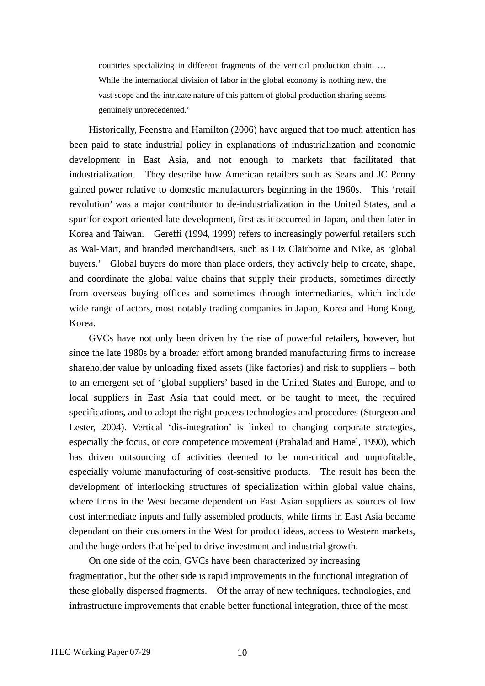countries specializing in different fragments of the vertical production chain. … While the international division of labor in the global economy is nothing new, the vast scope and the intricate nature of this pattern of global production sharing seems genuinely unprecedented.'

Historically, Feenstra and Hamilton (2006) have argued that too much attention has been paid to state industrial policy in explanations of industrialization and economic development in East Asia, and not enough to markets that facilitated that industrialization. They describe how American retailers such as Sears and JC Penny gained power relative to domestic manufacturers beginning in the 1960s. This 'retail revolution' was a major contributor to de-industrialization in the United States, and a spur for export oriented late development, first as it occurred in Japan, and then later in Korea and Taiwan. Gereffi (1994, 1999) refers to increasingly powerful retailers such as Wal-Mart, and branded merchandisers, such as Liz Clairborne and Nike, as 'global buyers.' Global buyers do more than place orders, they actively help to create, shape, and coordinate the global value chains that supply their products, sometimes directly from overseas buying offices and sometimes through intermediaries, which include wide range of actors, most notably trading companies in Japan, Korea and Hong Kong, Korea.

GVCs have not only been driven by the rise of powerful retailers, however, but since the late 1980s by a broader effort among branded manufacturing firms to increase shareholder value by unloading fixed assets (like factories) and risk to suppliers – both to an emergent set of 'global suppliers' based in the United States and Europe, and to local suppliers in East Asia that could meet, or be taught to meet, the required specifications, and to adopt the right process technologies and procedures (Sturgeon and Lester, 2004). Vertical 'dis-integration' is linked to changing corporate strategies, especially the focus, or core competence movement (Prahalad and Hamel, 1990), which has driven outsourcing of activities deemed to be non-critical and unprofitable, especially volume manufacturing of cost-sensitive products. The result has been the development of interlocking structures of specialization within global value chains, where firms in the West became dependent on East Asian suppliers as sources of low cost intermediate inputs and fully assembled products, while firms in East Asia became dependant on their customers in the West for product ideas, access to Western markets, and the huge orders that helped to drive investment and industrial growth.

On one side of the coin, GVCs have been characterized by increasing fragmentation, but the other side is rapid improvements in the functional integration of these globally dispersed fragments. Of the array of new techniques, technologies, and infrastructure improvements that enable better functional integration, three of the most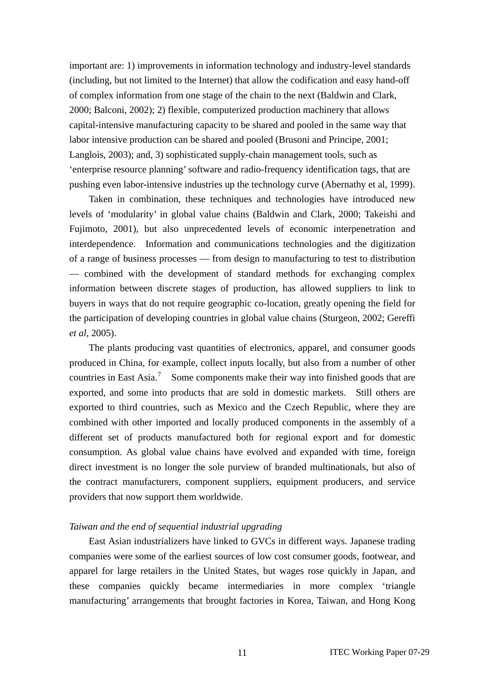important are: 1) improvements in information technology and industry-level standards (including, but not limited to the Internet) that allow the codification and easy hand-off of complex information from one stage of the chain to the next (Baldwin and Clark, 2000; Balconi, 2002); 2) flexible, computerized production machinery that allows capital-intensive manufacturing capacity to be shared and pooled in the same way that labor intensive production can be shared and pooled (Brusoni and Principe, 2001; Langlois, 2003); and, 3) sophisticated supply-chain management tools, such as 'enterprise resource planning' software and radio-frequency identification tags, that are pushing even labor-intensive industries up the technology curve (Abernathy et al, 1999).

Taken in combination, these techniques and technologies have introduced new levels of 'modularity' in global value chains (Baldwin and Clark, 2000; Takeishi and Fujimoto, 2001), but also unprecedented levels of economic interpenetration and interdependence. Information and communications technologies and the digitization of a range of business processes — from design to manufacturing to test to distribution — combined with the development of standard methods for exchanging complex information between discrete stages of production, has allowed suppliers to link to buyers in ways that do not require geographic co-location, greatly opening the field for the participation of developing countries in global value chains (Sturgeon, 2002; Gereffi *et al*, 2005).

The plants producing vast quantities of electronics, apparel, and consumer goods produced in China, for example, collect inputs locally, but also from a number of other countries in East Asia.<sup>[7](#page-38-1)</sup> Some components make their way into finished goods that are exported, and some into products that are sold in domestic markets. Still others are exported to third countries, such as Mexico and the Czech Republic, where they are combined with other imported and locally produced components in the assembly of a different set of products manufactured both for regional export and for domestic consumption. As global value chains have evolved and expanded with time, foreign direct investment is no longer the sole purview of branded multinationals, but also of the contract manufacturers, component suppliers, equipment producers, and service providers that now support them worldwide.

## *Taiwan and the end of sequential industrial upgrading*

East Asian industrializers have linked to GVCs in different ways. Japanese trading companies were some of the earliest sources of low cost consumer goods, footwear, and apparel for large retailers in the United States, but wages rose quickly in Japan, and these companies quickly became intermediaries in more complex 'triangle manufacturing' arrangements that brought factories in Korea, Taiwan, and Hong Kong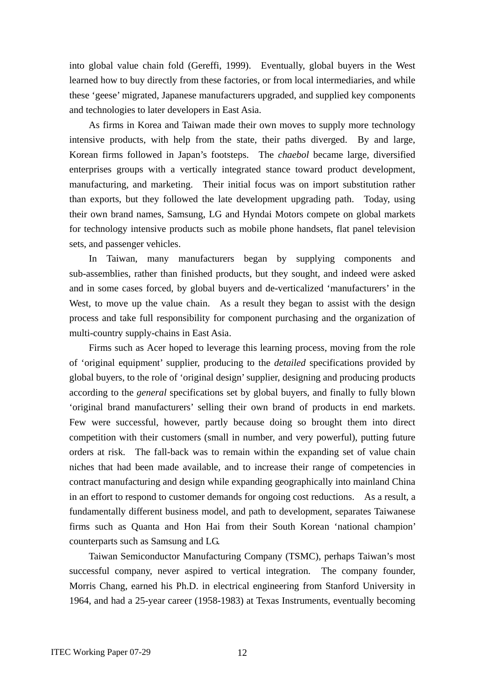into global value chain fold (Gereffi, 1999). Eventually, global buyers in the West learned how to buy directly from these factories, or from local intermediaries, and while these 'geese' migrated, Japanese manufacturers upgraded, and supplied key components and technologies to later developers in East Asia.

As firms in Korea and Taiwan made their own moves to supply more technology intensive products, with help from the state, their paths diverged. By and large, Korean firms followed in Japan's footsteps. The *chaebol* became large, diversified enterprises groups with a vertically integrated stance toward product development, manufacturing, and marketing. Their initial focus was on import substitution rather than exports, but they followed the late development upgrading path. Today, using their own brand names, Samsung, LG and Hyndai Motors compete on global markets for technology intensive products such as mobile phone handsets, flat panel television sets, and passenger vehicles.

In Taiwan, many manufacturers began by supplying components and sub-assemblies, rather than finished products, but they sought, and indeed were asked and in some cases forced, by global buyers and de-verticalized 'manufacturers' in the West, to move up the value chain. As a result they began to assist with the design process and take full responsibility for component purchasing and the organization of multi-country supply-chains in East Asia.

Firms such as Acer hoped to leverage this learning process, moving from the role of 'original equipment' supplier, producing to the *detailed* specifications provided by global buyers, to the role of 'original design' supplier, designing and producing products according to the *general* specifications set by global buyers, and finally to fully blown 'original brand manufacturers' selling their own brand of products in end markets. Few were successful, however, partly because doing so brought them into direct competition with their customers (small in number, and very powerful), putting future orders at risk. The fall-back was to remain within the expanding set of value chain niches that had been made available, and to increase their range of competencies in contract manufacturing and design while expanding geographically into mainland China in an effort to respond to customer demands for ongoing cost reductions. As a result, a fundamentally different business model, and path to development, separates Taiwanese firms such as Quanta and Hon Hai from their South Korean 'national champion' counterparts such as Samsung and LG.

Taiwan Semiconductor Manufacturing Company (TSMC), perhaps Taiwan's most successful company, never aspired to vertical integration. The company founder, Morris Chang, earned his Ph.D. in electrical engineering from Stanford University in 1964, and had a 25-year career (1958-1983) at Texas Instruments, eventually becoming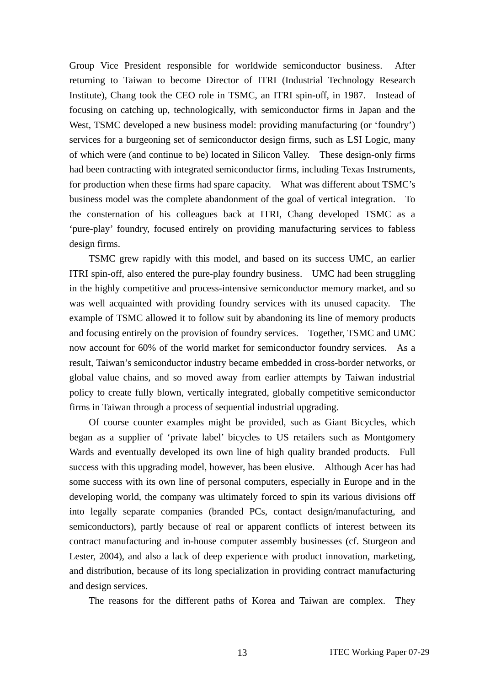Group Vice President responsible for worldwide semiconductor business. After returning to Taiwan to become Director of ITRI (Industrial Technology Research Institute), Chang took the CEO role in TSMC, an ITRI spin-off, in 1987. Instead of focusing on catching up, technologically, with semiconductor firms in Japan and the West, TSMC developed a new business model: providing manufacturing (or 'foundry') services for a burgeoning set of semiconductor design firms, such as LSI Logic, many of which were (and continue to be) located in Silicon Valley. These design-only firms had been contracting with integrated semiconductor firms, including Texas Instruments, for production when these firms had spare capacity. What was different about TSMC's business model was the complete abandonment of the goal of vertical integration. To the consternation of his colleagues back at ITRI, Chang developed TSMC as a 'pure-play' foundry, focused entirely on providing manufacturing services to fabless design firms.

TSMC grew rapidly with this model, and based on its success UMC, an earlier ITRI spin-off, also entered the pure-play foundry business. UMC had been struggling in the highly competitive and process-intensive semiconductor memory market, and so was well acquainted with providing foundry services with its unused capacity. The example of TSMC allowed it to follow suit by abandoning its line of memory products and focusing entirely on the provision of foundry services. Together, TSMC and UMC now account for 60% of the world market for semiconductor foundry services. As a result, Taiwan's semiconductor industry became embedded in cross-border networks, or global value chains, and so moved away from earlier attempts by Taiwan industrial policy to create fully blown, vertically integrated, globally competitive semiconductor firms in Taiwan through a process of sequential industrial upgrading.

Of course counter examples might be provided, such as Giant Bicycles, which began as a supplier of 'private label' bicycles to US retailers such as Montgomery Wards and eventually developed its own line of high quality branded products. Full success with this upgrading model, however, has been elusive. Although Acer has had some success with its own line of personal computers, especially in Europe and in the developing world, the company was ultimately forced to spin its various divisions off into legally separate companies (branded PCs, contact design/manufacturing, and semiconductors), partly because of real or apparent conflicts of interest between its contract manufacturing and in-house computer assembly businesses (cf. Sturgeon and Lester, 2004), and also a lack of deep experience with product innovation, marketing, and distribution, because of its long specialization in providing contract manufacturing and design services.

The reasons for the different paths of Korea and Taiwan are complex. They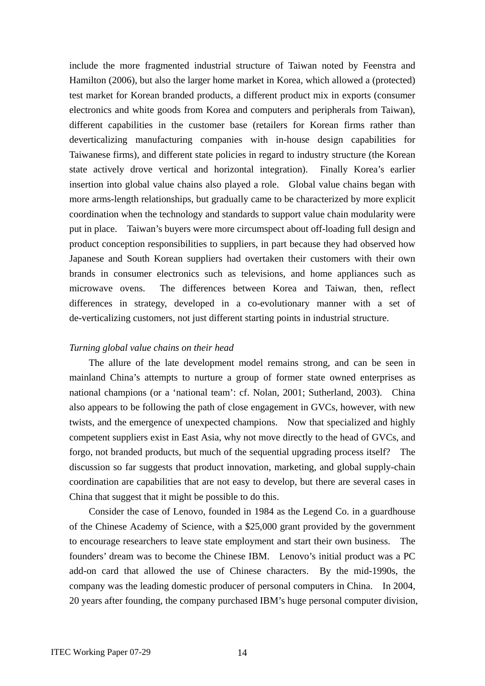include the more fragmented industrial structure of Taiwan noted by Feenstra and Hamilton (2006), but also the larger home market in Korea, which allowed a (protected) test market for Korean branded products, a different product mix in exports (consumer electronics and white goods from Korea and computers and peripherals from Taiwan), different capabilities in the customer base (retailers for Korean firms rather than deverticalizing manufacturing companies with in-house design capabilities for Taiwanese firms), and different state policies in regard to industry structure (the Korean state actively drove vertical and horizontal integration). Finally Korea's earlier insertion into global value chains also played a role. Global value chains began with more arms-length relationships, but gradually came to be characterized by more explicit coordination when the technology and standards to support value chain modularity were put in place. Taiwan's buyers were more circumspect about off-loading full design and product conception responsibilities to suppliers, in part because they had observed how Japanese and South Korean suppliers had overtaken their customers with their own brands in consumer electronics such as televisions, and home appliances such as microwave ovens. The differences between Korea and Taiwan, then, reflect differences in strategy, developed in a co-evolutionary manner with a set of de-verticalizing customers, not just different starting points in industrial structure.

### *Turning global value chains on their head*

The allure of the late development model remains strong, and can be seen in mainland China's attempts to nurture a group of former state owned enterprises as national champions (or a 'national team': cf. Nolan, 2001; Sutherland, 2003). China also appears to be following the path of close engagement in GVCs, however, with new twists, and the emergence of unexpected champions. Now that specialized and highly competent suppliers exist in East Asia, why not move directly to the head of GVCs, and forgo, not branded products, but much of the sequential upgrading process itself? The discussion so far suggests that product innovation, marketing, and global supply-chain coordination are capabilities that are not easy to develop, but there are several cases in China that suggest that it might be possible to do this.

Consider the case of Lenovo, founded in 1984 as the Legend Co. in a guardhouse of the Chinese Academy of Science, with a \$25,000 grant provided by the government to encourage researchers to leave state employment and start their own business. The founders' dream was to become the Chinese IBM. Lenovo's initial product was a PC add-on card that allowed the use of Chinese characters. By the mid-1990s, the company was the leading domestic producer of personal computers in China. In 2004, 20 years after founding, the company purchased IBM's huge personal computer division,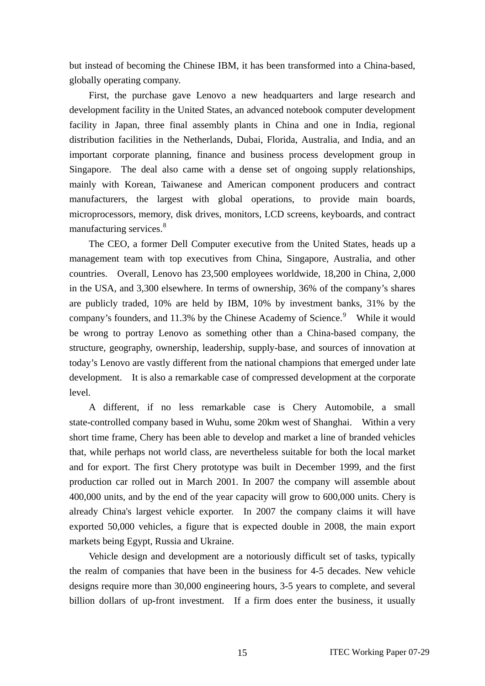but instead of becoming the Chinese IBM, it has been transformed into a China-based, globally operating company.

First, the purchase gave Lenovo a new headquarters and large research and development facility in the United States, an advanced notebook computer development facility in Japan, three final assembly plants in China and one in India, regional distribution facilities in the Netherlands, Dubai, Florida, Australia, and India, and an important corporate planning, finance and business process development group in Singapore. The deal also came with a dense set of ongoing supply relationships, mainly with Korean, Taiwanese and American component producers and contract manufacturers, the largest with global operations, to provide main boards, microprocessors, memory, disk drives, monitors, LCD screens, keyboards, and contract manufacturing services.<sup>[8](#page-38-1)</sup>

The CEO, a former Dell Computer executive from the United States, heads up a management team with top executives from China, Singapore, Australia, and other countries. Overall, Lenovo has 23,500 employees worldwide, 18,200 in China, 2,000 in the USA, and 3,300 elsewhere. In terms of ownership, 36% of the company's shares are publicly traded, 10% are held by IBM, 10% by investment banks, 31% by the company's founders, and 11.3% by the Chinese Academy of Science. $9$  While it would be wrong to portray Lenovo as something other than a China-based company, the structure, geography, ownership, leadership, supply-base, and sources of innovation at today's Lenovo are vastly different from the national champions that emerged under late development. It is also a remarkable case of compressed development at the corporate level.

A different, if no less remarkable case is Chery Automobile, a small state-controlled company based in Wuhu, some 20km west of Shanghai. Within a very short time frame, Chery has been able to develop and market a line of branded vehicles that, while perhaps not world class, are nevertheless suitable for both the local market and for export. The first Chery prototype was built in December 1999, and the first production car rolled out in March 2001. In 2007 the company will assemble about 400,000 units, and by the end of the year capacity will grow to 600,000 units. Chery is already China's largest vehicle exporter. In 2007 the company claims it will have exported 50,000 vehicles, a figure that is expected double in 2008, the main export markets being Egypt, Russia and Ukraine.

Vehicle design and development are a notoriously difficult set of tasks, typically the realm of companies that have been in the business for 4-5 decades. New vehicle designs require more than 30,000 engineering hours, 3-5 years to complete, and several billion dollars of up-front investment. If a firm does enter the business, it usually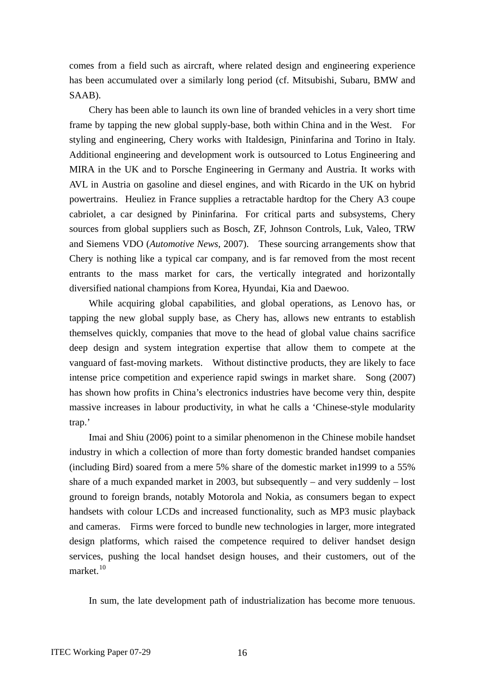comes from a field such as aircraft, where related design and engineering experience has been accumulated over a similarly long period (cf. Mitsubishi, Subaru, BMW and SAAB).

Chery has been able to launch its own line of branded vehicles in a very short time frame by tapping the new global supply-base, both within China and in the West. For styling and engineering, Chery works with Italdesign, Pininfarina and Torino in Italy. Additional engineering and development work is outsourced to Lotus Engineering and MIRA in the UK and to Porsche Engineering in Germany and Austria. It works with AVL in Austria on gasoline and diesel engines, and with Ricardo in the UK on hybrid powertrains. Heuliez in France supplies a retractable hardtop for the Chery A3 coupe cabriolet, a car designed by Pininfarina. For critical parts and subsystems, Chery sources from global suppliers such as Bosch, ZF, Johnson Controls, Luk, Valeo, TRW and Siemens VDO (*Automotive News*, 2007). These sourcing arrangements show that Chery is nothing like a typical car company, and is far removed from the most recent entrants to the mass market for cars, the vertically integrated and horizontally diversified national champions from Korea, Hyundai, Kia and Daewoo.

While acquiring global capabilities, and global operations, as Lenovo has, or tapping the new global supply base, as Chery has, allows new entrants to establish themselves quickly, companies that move to the head of global value chains sacrifice deep design and system integration expertise that allow them to compete at the vanguard of fast-moving markets. Without distinctive products, they are likely to face intense price competition and experience rapid swings in market share. Song (2007) has shown how profits in China's electronics industries have become very thin, despite massive increases in labour productivity, in what he calls a 'Chinese-style modularity trap.'

Imai and Shiu (2006) point to a similar phenomenon in the Chinese mobile handset industry in which a collection of more than forty domestic branded handset companies (including Bird) soared from a mere 5% share of the domestic market in1999 to a 55% share of a much expanded market in 2003, but subsequently – and very suddenly – lost ground to foreign brands, notably Motorola and Nokia, as consumers began to expect handsets with colour LCDs and increased functionality, such as MP3 music playback and cameras. Firms were forced to bundle new technologies in larger, more integrated design platforms, which raised the competence required to deliver handset design services, pushing the local handset design houses, and their customers, out of the market.<sup>[10](#page-38-1)</sup>

In sum, the late development path of industrialization has become more tenuous.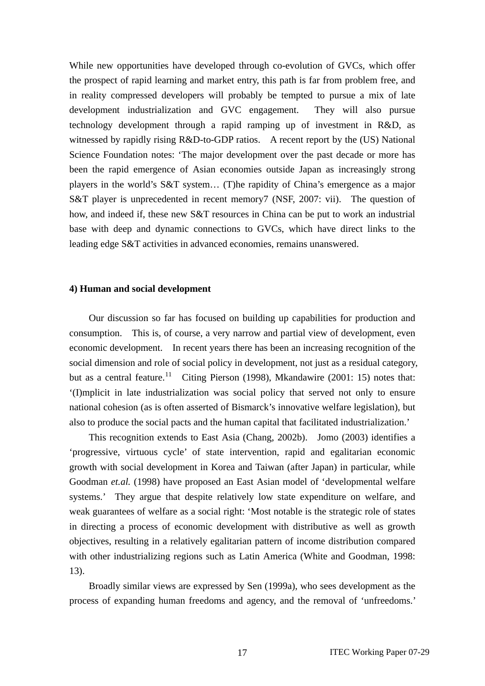While new opportunities have developed through co-evolution of GVCs, which offer the prospect of rapid learning and market entry, this path is far from problem free, and in reality compressed developers will probably be tempted to pursue a mix of late development industrialization and GVC engagement. They will also pursue technology development through a rapid ramping up of investment in R&D, as witnessed by rapidly rising R&D-to-GDP ratios. A recent report by the (US) National Science Foundation notes: 'The major development over the past decade or more has been the rapid emergence of Asian economies outside Japan as increasingly strong players in the world's S&T system… (T)he rapidity of China's emergence as a major S&T player is unprecedented in recent memory7 (NSF, 2007: vii). The question of how, and indeed if, these new S&T resources in China can be put to work an industrial base with deep and dynamic connections to GVCs, which have direct links to the leading edge S&T activities in advanced economies, remains unanswered.

### **4) Human and social development**

Our discussion so far has focused on building up capabilities for production and consumption. This is, of course, a very narrow and partial view of development, even economic development. In recent years there has been an increasing recognition of the social dimension and role of social policy in development, not just as a residual category, but as a central feature.<sup>[11](#page-38-1)</sup> Citing Pierson (1998), Mkandawire (2001: 15) notes that: '(I)mplicit in late industrialization was social policy that served not only to ensure national cohesion (as is often asserted of Bismarck's innovative welfare legislation), but also to produce the social pacts and the human capital that facilitated industrialization.'

This recognition extends to East Asia (Chang, 2002b). Jomo (2003) identifies a 'progressive, virtuous cycle' of state intervention, rapid and egalitarian economic growth with social development in Korea and Taiwan (after Japan) in particular, while Goodman *et.al.* (1998) have proposed an East Asian model of 'developmental welfare systems.' They argue that despite relatively low state expenditure on welfare, and weak guarantees of welfare as a social right: 'Most notable is the strategic role of states in directing a process of economic development with distributive as well as growth objectives, resulting in a relatively egalitarian pattern of income distribution compared with other industrializing regions such as Latin America (White and Goodman, 1998: 13).

Broadly similar views are expressed by Sen (1999a), who sees development as the process of expanding human freedoms and agency, and the removal of 'unfreedoms.'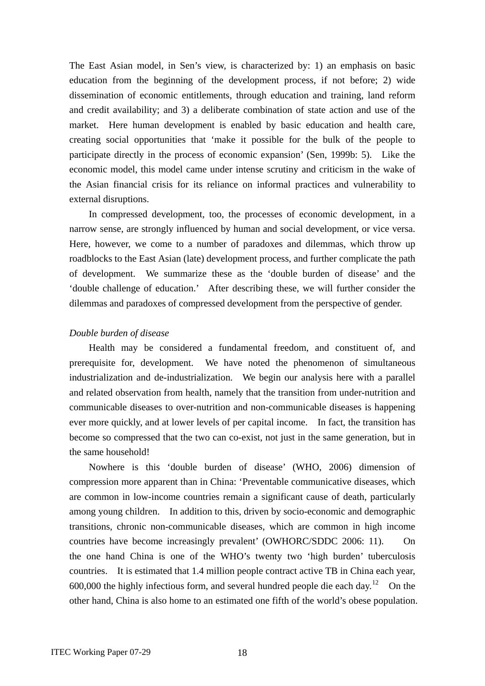The East Asian model, in Sen's view, is characterized by: 1) an emphasis on basic education from the beginning of the development process, if not before; 2) wide dissemination of economic entitlements, through education and training, land reform and credit availability; and 3) a deliberate combination of state action and use of the market. Here human development is enabled by basic education and health care, creating social opportunities that 'make it possible for the bulk of the people to participate directly in the process of economic expansion' (Sen, 1999b: 5). Like the economic model, this model came under intense scrutiny and criticism in the wake of the Asian financial crisis for its reliance on informal practices and vulnerability to external disruptions.

In compressed development, too, the processes of economic development, in a narrow sense, are strongly influenced by human and social development, or vice versa. Here, however, we come to a number of paradoxes and dilemmas, which throw up roadblocks to the East Asian (late) development process, and further complicate the path of development. We summarize these as the 'double burden of disease' and the 'double challenge of education.' After describing these, we will further consider the dilemmas and paradoxes of compressed development from the perspective of gender.

### *Double burden of disease*

Health may be considered a fundamental freedom, and constituent of, and prerequisite for, development. We have noted the phenomenon of simultaneous industrialization and de-industrialization. We begin our analysis here with a parallel and related observation from health, namely that the transition from under-nutrition and communicable diseases to over-nutrition and non-communicable diseases is happening ever more quickly, and at lower levels of per capital income. In fact, the transition has become so compressed that the two can co-exist, not just in the same generation, but in the same household!

Nowhere is this 'double burden of disease' (WHO, 2006) dimension of compression more apparent than in China: 'Preventable communicative diseases, which are common in low-income countries remain a significant cause of death, particularly among young children. In addition to this, driven by socio-economic and demographic transitions, chronic non-communicable diseases, which are common in high income countries have become increasingly prevalent' (OWHORC/SDDC 2006: 11). On the one hand China is one of the WHO's twenty two 'high burden' tuberculosis countries. It is estimated that 1.4 million people contract active TB in China each year, 600,000 the highly infectious form, and several hundred people die each day.<sup>[12](#page-38-1)</sup> On the other hand, China is also home to an estimated one fifth of the world's obese population.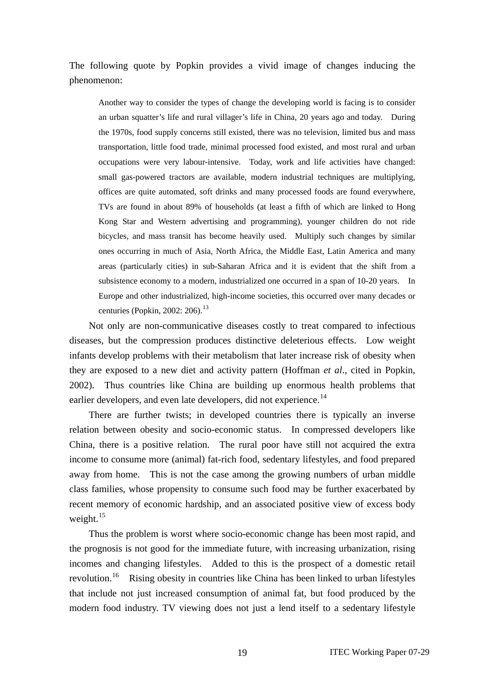The following quote by Popkin provides a vivid image of changes inducing the phenomenon:

Another way to consider the types of change the developing world is facing is to consider an urban squatter's life and rural villager's life in China, 20 years ago and today. During the 1970s, food supply concerns still existed, there was no television, limited bus and mass transportation, little food trade, minimal processed food existed, and most rural and urban occupations were very labour-intensive. Today, work and life activities have changed: small gas-powered tractors are available, modern industrial techniques are multiplying, offices are quite automated, soft drinks and many processed foods are found everywhere, TVs are found in about 89% of households (at least a fifth of which are linked to Hong Kong Star and Western advertising and programming), younger children do not ride bicycles, and mass transit has become heavily used. Multiply such changes by similar ones occurring in much of Asia, North Africa, the Middle East, Latin America and many areas (particularly cities) in sub-Saharan Africa and it is evident that the shift from a subsistence economy to a modern, industrialized one occurred in a span of 10-20 years. In Europe and other industrialized, high-income societies, this occurred over many decades or centuries (Popkin, 2002: 206).<sup>[13](#page-38-1)</sup>

Not only are non-communicative diseases costly to treat compared to infectious diseases, but the compression produces distinctive deleterious effects. Low weight infants develop problems with their metabolism that later increase risk of obesity when they are exposed to a new diet and activity pattern (Hoffman *et al*., cited in Popkin, 2002). Thus countries like China are building up enormous health problems that earlier developers, and even late developers, did not experience.<sup>[14](#page-38-1)</sup>

There are further twists; in developed countries there is typically an inverse relation between obesity and socio-economic status. In compressed developers like China, there is a positive relation. The rural poor have still not acquired the extra income to consume more (animal) fat-rich food, sedentary lifestyles, and food prepared away from home. This is not the case among the growing numbers of urban middle class families, whose propensity to consume such food may be further exacerbated by recent memory of economic hardship, and an associated positive view of excess body weight. $^{15}$  $^{15}$  $^{15}$ 

Thus the problem is worst where socio-economic change has been most rapid, and the prognosis is not good for the immediate future, with increasing urbanization, rising incomes and changing lifestyles. Added to this is the prospect of a domestic retail revolution.<sup>[16](#page-38-1)</sup> Rising obesity in countries like China has been linked to urban lifestyles that include not just increased consumption of animal fat, but food produced by the modern food industry. TV viewing does not just a lend itself to a sedentary lifestyle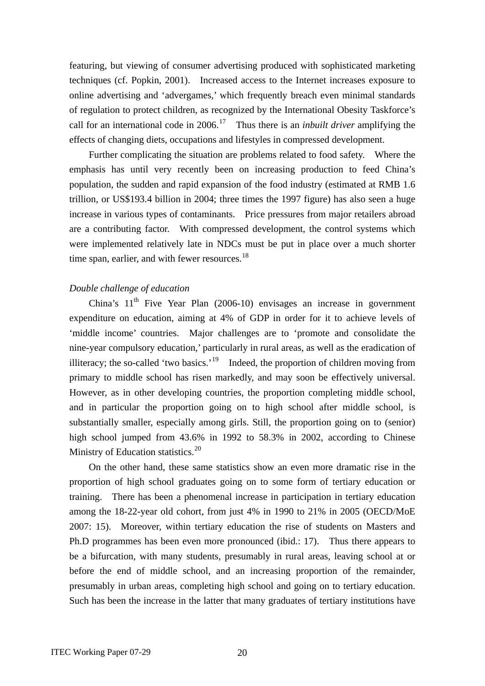featuring, but viewing of consumer advertising produced with sophisticated marketing techniques (cf. Popkin, 2001). Increased access to the Internet increases exposure to online advertising and 'advergames,' which frequently breach even minimal standards of regulation to protect children, as recognized by the International Obesity Taskforce's call for an international code in 2006.[17](#page-38-1) Thus there is an *inbuilt driver* amplifying the effects of changing diets, occupations and lifestyles in compressed development.

Further complicating the situation are problems related to food safety. Where the emphasis has until very recently been on increasing production to feed China's population, the sudden and rapid expansion of the food industry (estimated at RMB 1.6 trillion, or US\$193.4 billion in 2004; three times the 1997 figure) has also seen a huge increase in various types of contaminants. Price pressures from major retailers abroad are a contributing factor. With compressed development, the control systems which were implemented relatively late in NDCs must be put in place over a much shorter time span, earlier, and with fewer resources.<sup>[18](#page-38-1)</sup>

## *Double challenge of education*

China's  $11<sup>th</sup>$  Five Year Plan (2006-10) envisages an increase in government expenditure on education, aiming at 4% of GDP in order for it to achieve levels of 'middle income' countries. Major challenges are to 'promote and consolidate the nine-year compulsory education,' particularly in rural areas, as well as the eradication of illiteracy; the so-called 'two basics.'<sup>[19](#page-38-1)</sup> Indeed, the proportion of children moving from primary to middle school has risen markedly, and may soon be effectively universal. However, as in other developing countries, the proportion completing middle school, and in particular the proportion going on to high school after middle school, is substantially smaller, especially among girls. Still, the proportion going on to (senior) high school jumped from 43.6% in 1992 to 58.3% in 2002, according to Chinese Ministry of Education statistics. $20$ 

On the other hand, these same statistics show an even more dramatic rise in the proportion of high school graduates going on to some form of tertiary education or training. There has been a phenomenal increase in participation in tertiary education among the 18-22-year old cohort, from just 4% in 1990 to 21% in 2005 (OECD/MoE 2007: 15). Moreover, within tertiary education the rise of students on Masters and Ph.D programmes has been even more pronounced (ibid.: 17). Thus there appears to be a bifurcation, with many students, presumably in rural areas, leaving school at or before the end of middle school, and an increasing proportion of the remainder, presumably in urban areas, completing high school and going on to tertiary education. Such has been the increase in the latter that many graduates of tertiary institutions have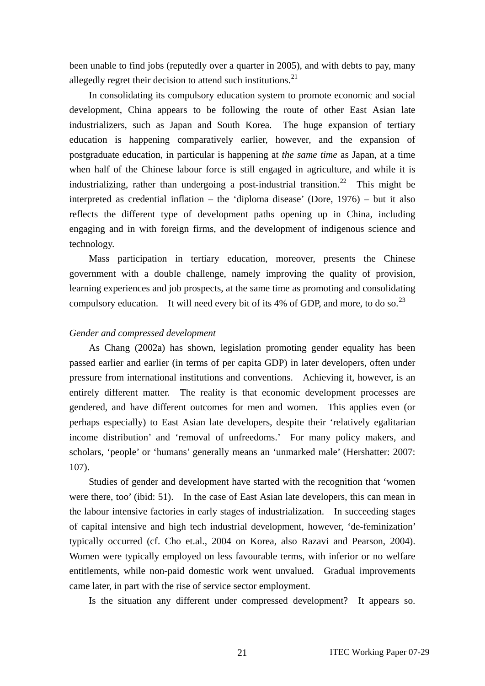been unable to find jobs (reputedly over a quarter in 2005), and with debts to pay, many allegedly regret their decision to attend such institutions. $^{21}$  $^{21}$  $^{21}$ 

In consolidating its compulsory education system to promote economic and social development, China appears to be following the route of other East Asian late industrializers, such as Japan and South Korea. The huge expansion of tertiary education is happening comparatively earlier, however, and the expansion of postgraduate education, in particular is happening at *the same time* as Japan, at a time when half of the Chinese labour force is still engaged in agriculture, and while it is industrializing, rather than undergoing a post-industrial transition.<sup>[22](#page-38-1)</sup> This might be interpreted as credential inflation – the 'diploma disease' (Dore, 1976) – but it also reflects the different type of development paths opening up in China, including engaging and in with foreign firms, and the development of indigenous science and technology.

Mass participation in tertiary education, moreover, presents the Chinese government with a double challenge, namely improving the quality of provision, learning experiences and job prospects, at the same time as promoting and consolidating compulsory education. It will need every bit of its 4% of GDP, and more, to do so.<sup>[23](#page-38-1)</sup>

## *Gender and compressed development*

As Chang (2002a) has shown, legislation promoting gender equality has been passed earlier and earlier (in terms of per capita GDP) in later developers, often under pressure from international institutions and conventions. Achieving it, however, is an entirely different matter. The reality is that economic development processes are gendered, and have different outcomes for men and women. This applies even (or perhaps especially) to East Asian late developers, despite their 'relatively egalitarian income distribution' and 'removal of unfreedoms.' For many policy makers, and scholars, 'people' or 'humans' generally means an 'unmarked male' (Hershatter: 2007: 107).

Studies of gender and development have started with the recognition that 'women were there, too' (ibid: 51). In the case of East Asian late developers, this can mean in the labour intensive factories in early stages of industrialization. In succeeding stages of capital intensive and high tech industrial development, however, 'de-feminization' typically occurred (cf. Cho et.al., 2004 on Korea, also Razavi and Pearson, 2004). Women were typically employed on less favourable terms, with inferior or no welfare entitlements, while non-paid domestic work went unvalued. Gradual improvements came later, in part with the rise of service sector employment.

Is the situation any different under compressed development? It appears so.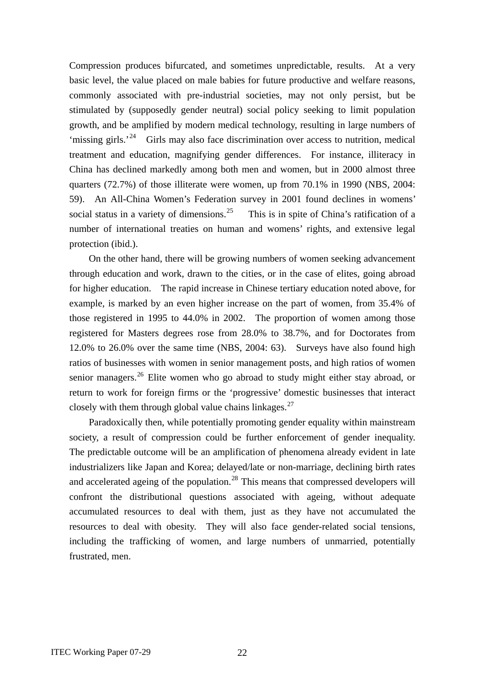Compression produces bifurcated, and sometimes unpredictable, results. At a very basic level, the value placed on male babies for future productive and welfare reasons, commonly associated with pre-industrial societies, may not only persist, but be stimulated by (supposedly gender neutral) social policy seeking to limit population growth, and be amplified by modern medical technology, resulting in large numbers of 'missing girls.'<sup>[24](#page-38-1)</sup> Girls may also face discrimination over access to nutrition, medical treatment and education, magnifying gender differences. For instance, illiteracy in China has declined markedly among both men and women, but in 2000 almost three quarters (72.7%) of those illiterate were women, up from 70.1% in 1990 (NBS, 2004: 59). An All-China Women's Federation survey in 2001 found declines in womens' social status in a variety of dimensions.<sup>[25](#page-38-1)</sup> This is in spite of China's ratification of a number of international treaties on human and womens' rights, and extensive legal protection (ibid.).

On the other hand, there will be growing numbers of women seeking advancement through education and work, drawn to the cities, or in the case of elites, going abroad for higher education. The rapid increase in Chinese tertiary education noted above, for example, is marked by an even higher increase on the part of women, from 35.4% of those registered in 1995 to 44.0% in 2002. The proportion of women among those registered for Masters degrees rose from 28.0% to 38.7%, and for Doctorates from 12.0% to 26.0% over the same time (NBS, 2004: 63). Surveys have also found high ratios of businesses with women in senior management posts, and high ratios of women senior managers.<sup>[26](#page-38-1)</sup> Elite women who go abroad to study might either stay abroad, or return to work for foreign firms or the 'progressive' domestic businesses that interact closely with them through global value chains linkages. $^{27}$  $^{27}$  $^{27}$ 

Paradoxically then, while potentially promoting gender equality within mainstream society, a result of compression could be further enforcement of gender inequality. The predictable outcome will be an amplification of phenomena already evident in late industrializers like Japan and Korea; delayed/late or non-marriage, declining birth rates and accelerated ageing of the population.<sup>[28](#page-38-1)</sup> This means that compressed developers will confront the distributional questions associated with ageing, without adequate accumulated resources to deal with them, just as they have not accumulated the resources to deal with obesity. They will also face gender-related social tensions, including the trafficking of women, and large numbers of unmarried, potentially frustrated, men.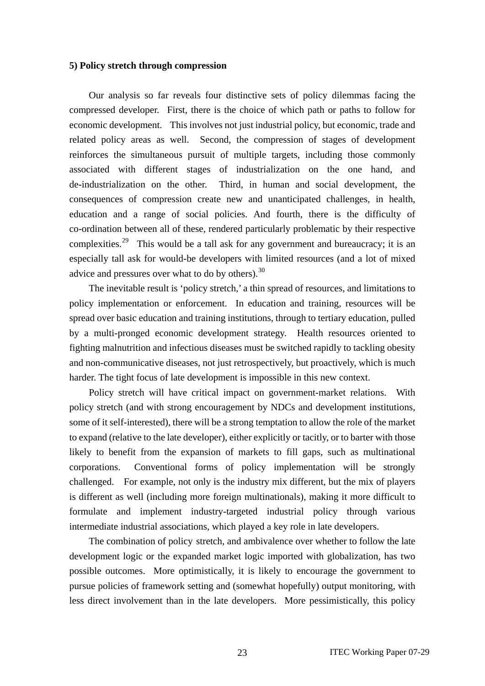#### **5) Policy stretch through compression**

Our analysis so far reveals four distinctive sets of policy dilemmas facing the compressed developer. First, there is the choice of which path or paths to follow for economic development. This involves not just industrial policy, but economic, trade and related policy areas as well. Second, the compression of stages of development reinforces the simultaneous pursuit of multiple targets, including those commonly associated with different stages of industrialization on the one hand, and de-industrialization on the other. Third, in human and social development, the consequences of compression create new and unanticipated challenges, in health, education and a range of social policies. And fourth, there is the difficulty of co-ordination between all of these, rendered particularly problematic by their respective complexities.<sup>[29](#page-38-1)</sup> This would be a tall ask for any government and bureaucracy; it is an especially tall ask for would-be developers with limited resources (and a lot of mixed advice and pressures over what to do by others). $30$ 

The inevitable result is 'policy stretch,' a thin spread of resources, and limitations to policy implementation or enforcement. In education and training, resources will be spread over basic education and training institutions, through to tertiary education, pulled by a multi-pronged economic development strategy. Health resources oriented to fighting malnutrition and infectious diseases must be switched rapidly to tackling obesity and non-communicative diseases, not just retrospectively, but proactively, which is much harder. The tight focus of late development is impossible in this new context.

Policy stretch will have critical impact on government-market relations. With policy stretch (and with strong encouragement by NDCs and development institutions, some of it self-interested), there will be a strong temptation to allow the role of the market to expand (relative to the late developer), either explicitly or tacitly, or to barter with those likely to benefit from the expansion of markets to fill gaps, such as multinational corporations. Conventional forms of policy implementation will be strongly challenged. For example, not only is the industry mix different, but the mix of players is different as well (including more foreign multinationals), making it more difficult to formulate and implement industry-targeted industrial policy through various intermediate industrial associations, which played a key role in late developers.

The combination of policy stretch, and ambivalence over whether to follow the late development logic or the expanded market logic imported with globalization, has two possible outcomes. More optimistically, it is likely to encourage the government to pursue policies of framework setting and (somewhat hopefully) output monitoring, with less direct involvement than in the late developers. More pessimistically, this policy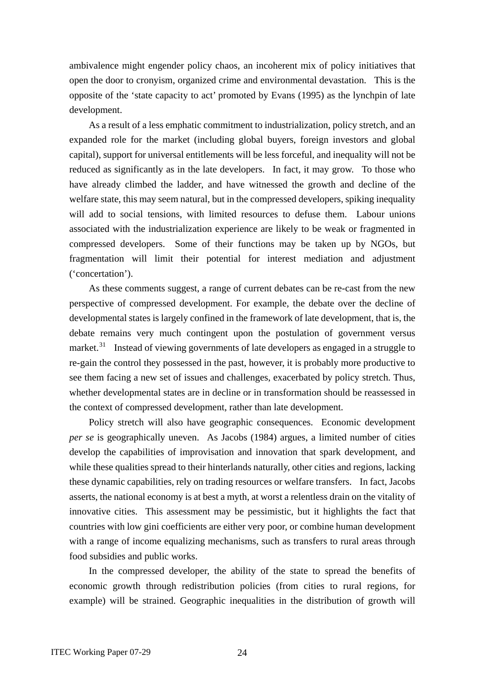ambivalence might engender policy chaos, an incoherent mix of policy initiatives that open the door to cronyism, organized crime and environmental devastation. This is the opposite of the 'state capacity to act' promoted by Evans (1995) as the lynchpin of late development.

As a result of a less emphatic commitment to industrialization, policy stretch, and an expanded role for the market (including global buyers, foreign investors and global capital), support for universal entitlements will be less forceful, and inequality will not be reduced as significantly as in the late developers. In fact, it may grow. To those who have already climbed the ladder, and have witnessed the growth and decline of the welfare state, this may seem natural, but in the compressed developers, spiking inequality will add to social tensions, with limited resources to defuse them. Labour unions associated with the industrialization experience are likely to be weak or fragmented in compressed developers. Some of their functions may be taken up by NGOs, but fragmentation will limit their potential for interest mediation and adjustment ('concertation').

As these comments suggest, a range of current debates can be re-cast from the new perspective of compressed development. For example, the debate over the decline of developmental states is largely confined in the framework of late development, that is, the debate remains very much contingent upon the postulation of government versus market.<sup>[31](#page-38-1)</sup> Instead of viewing governments of late developers as engaged in a struggle to re-gain the control they possessed in the past, however, it is probably more productive to see them facing a new set of issues and challenges, exacerbated by policy stretch. Thus, whether developmental states are in decline or in transformation should be reassessed in the context of compressed development, rather than late development.

Policy stretch will also have geographic consequences. Economic development *per se* is geographically uneven. As Jacobs (1984) argues, a limited number of cities develop the capabilities of improvisation and innovation that spark development, and while these qualities spread to their hinterlands naturally, other cities and regions, lacking these dynamic capabilities, rely on trading resources or welfare transfers. In fact, Jacobs asserts, the national economy is at best a myth, at worst a relentless drain on the vitality of innovative cities. This assessment may be pessimistic, but it highlights the fact that countries with low gini coefficients are either very poor, or combine human development with a range of income equalizing mechanisms, such as transfers to rural areas through food subsidies and public works.

In the compressed developer, the ability of the state to spread the benefits of economic growth through redistribution policies (from cities to rural regions, for example) will be strained. Geographic inequalities in the distribution of growth will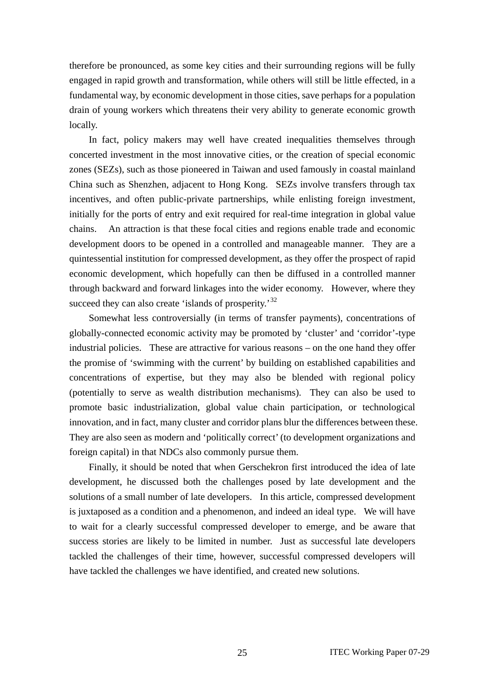therefore be pronounced, as some key cities and their surrounding regions will be fully engaged in rapid growth and transformation, while others will still be little effected, in a fundamental way, by economic development in those cities, save perhaps for a population drain of young workers which threatens their very ability to generate economic growth locally.

In fact, policy makers may well have created inequalities themselves through concerted investment in the most innovative cities, or the creation of special economic zones (SEZs), such as those pioneered in Taiwan and used famously in coastal mainland China such as Shenzhen, adjacent to Hong Kong. SEZs involve transfers through tax incentives, and often public-private partnerships, while enlisting foreign investment, initially for the ports of entry and exit required for real-time integration in global value chains. An attraction is that these focal cities and regions enable trade and economic development doors to be opened in a controlled and manageable manner. They are a quintessential institution for compressed development, as they offer the prospect of rapid economic development, which hopefully can then be diffused in a controlled manner through backward and forward linkages into the wider economy. However, where they succeed they can also create 'islands of prosperity.'<sup>[32](#page-38-1)</sup>

Somewhat less controversially (in terms of transfer payments), concentrations of globally-connected economic activity may be promoted by 'cluster' and 'corridor'-type industrial policies. These are attractive for various reasons – on the one hand they offer the promise of 'swimming with the current' by building on established capabilities and concentrations of expertise, but they may also be blended with regional policy (potentially to serve as wealth distribution mechanisms). They can also be used to promote basic industrialization, global value chain participation, or technological innovation, and in fact, many cluster and corridor plans blur the differences between these. They are also seen as modern and 'politically correct' (to development organizations and foreign capital) in that NDCs also commonly pursue them.

Finally, it should be noted that when Gerschekron first introduced the idea of late development, he discussed both the challenges posed by late development and the solutions of a small number of late developers. In this article, compressed development is juxtaposed as a condition and a phenomenon, and indeed an ideal type. We will have to wait for a clearly successful compressed developer to emerge, and be aware that success stories are likely to be limited in number. Just as successful late developers tackled the challenges of their time, however, successful compressed developers will have tackled the challenges we have identified, and created new solutions.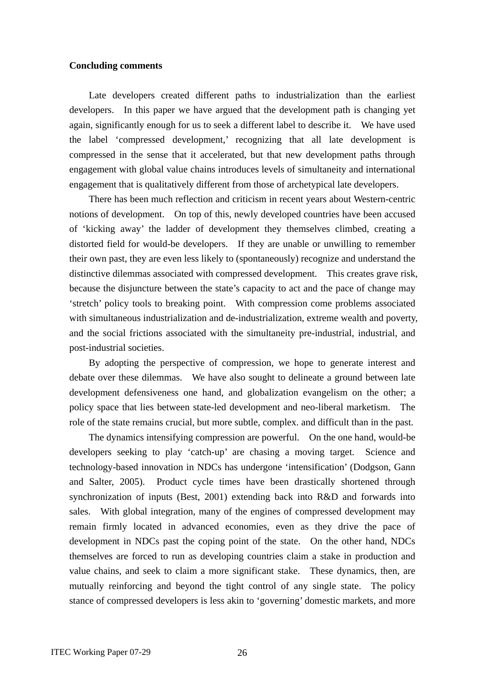#### **Concluding comments**

Late developers created different paths to industrialization than the earliest developers. In this paper we have argued that the development path is changing yet again, significantly enough for us to seek a different label to describe it. We have used the label 'compressed development,' recognizing that all late development is compressed in the sense that it accelerated, but that new development paths through engagement with global value chains introduces levels of simultaneity and international engagement that is qualitatively different from those of archetypical late developers.

There has been much reflection and criticism in recent years about Western-centric notions of development. On top of this, newly developed countries have been accused of 'kicking away' the ladder of development they themselves climbed, creating a distorted field for would-be developers. If they are unable or unwilling to remember their own past, they are even less likely to (spontaneously) recognize and understand the distinctive dilemmas associated with compressed development. This creates grave risk, because the disjuncture between the state's capacity to act and the pace of change may 'stretch' policy tools to breaking point. With compression come problems associated with simultaneous industrialization and de-industrialization, extreme wealth and poverty, and the social frictions associated with the simultaneity pre-industrial, industrial, and post-industrial societies.

By adopting the perspective of compression, we hope to generate interest and debate over these dilemmas. We have also sought to delineate a ground between late development defensiveness one hand, and globalization evangelism on the other; a policy space that lies between state-led development and neo-liberal marketism. The role of the state remains crucial, but more subtle, complex. and difficult than in the past.

The dynamics intensifying compression are powerful. On the one hand, would-be developers seeking to play 'catch-up' are chasing a moving target. Science and technology-based innovation in NDCs has undergone 'intensification' (Dodgson, Gann and Salter, 2005). Product cycle times have been drastically shortened through synchronization of inputs (Best, 2001) extending back into R&D and forwards into sales. With global integration, many of the engines of compressed development may remain firmly located in advanced economies, even as they drive the pace of development in NDCs past the coping point of the state. On the other hand, NDCs themselves are forced to run as developing countries claim a stake in production and value chains, and seek to claim a more significant stake. These dynamics, then, are mutually reinforcing and beyond the tight control of any single state. The policy stance of compressed developers is less akin to 'governing' domestic markets, and more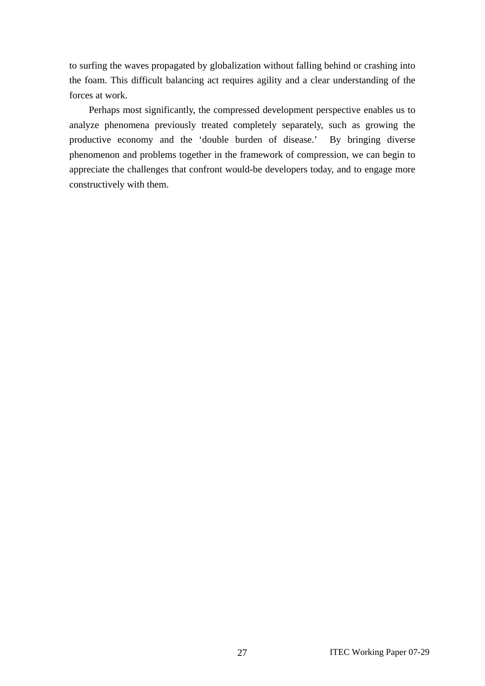to surfing the waves propagated by globalization without falling behind or crashing into the foam. This difficult balancing act requires agility and a clear understanding of the forces at work.

Perhaps most significantly, the compressed development perspective enables us to analyze phenomena previously treated completely separately, such as growing the productive economy and the 'double burden of disease.' By bringing diverse phenomenon and problems together in the framework of compression, we can begin to appreciate the challenges that confront would-be developers today, and to engage more constructively with them.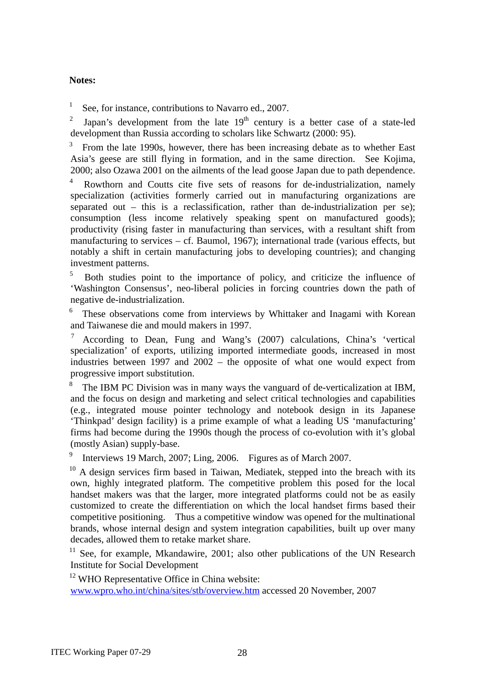## **Notes:**

1 See, for instance, contributions to Navarro ed., 2007.

2 Japan's development from the late  $19<sup>th</sup>$  century is a better case of a state-led development than Russia according to scholars like Schwartz (2000: 95).

3 From the late 1990s, however, there has been increasing debate as to whether East Asia's geese are still flying in formation, and in the same direction. See Kojima, 2000; also Ozawa 2001 on the ailments of the lead goose Japan due to path dependence.

4 Rowthorn and Coutts cite five sets of reasons for de-industrialization, namely specialization (activities formerly carried out in manufacturing organizations are separated out – this is a reclassification, rather than de-industrialization per se); consumption (less income relatively speaking spent on manufactured goods); productivity (rising faster in manufacturing than services, with a resultant shift from manufacturing to services – cf. Baumol, 1967); international trade (various effects, but notably a shift in certain manufacturing jobs to developing countries); and changing investment patterns.

5 Both studies point to the importance of policy, and criticize the influence of 'Washington Consensus', neo-liberal policies in forcing countries down the path of negative de-industrialization.

6 These observations come from interviews by Whittaker and Inagami with Korean and Taiwanese die and mould makers in 1997.

 $\frac{7}{1}$  According to Dean, Fung and Wang's (2007) calculations, China's 'vertical specialization' of exports, utilizing imported intermediate goods, increased in most industries between 1997 and 2002 – the opposite of what one would expect from progressive import substitution.

8 The IBM PC Division was in many ways the vanguard of de-verticalization at IBM, and the focus on design and marketing and select critical technologies and capabilities (e.g., integrated mouse pointer technology and notebook design in its Japanese 'Thinkpad' design facility) is a prime example of what a leading US 'manufacturing' firms had become during the 1990s though the process of co-evolution with it's global (mostly Asian) supply-base.

9 Interviews 19 March, 2007; Ling, 2006. Figures as of March 2007.

<sup>10</sup> A design services firm based in Taiwan, Mediatek, stepped into the breach with its own, highly integrated platform. The competitive problem this posed for the local handset makers was that the larger, more integrated platforms could not be as easily customized to create the differentiation on which the local handset firms based their competitive positioning. Thus a competitive window was opened for the multinational brands, whose internal design and system integration capabilities, built up over many decades, allowed them to retake market share.

 $11$  See, for example, Mkandawire, 2001; also other publications of the UN Research Institute for Social Development

<sup>12</sup> WHO Representative Office in China website:

[www.wpro.who.int/china/sites/stb/overview.htm](http://www.wpro.who.int/china/sites/stb/overview.htm) accessed 20 November, 2007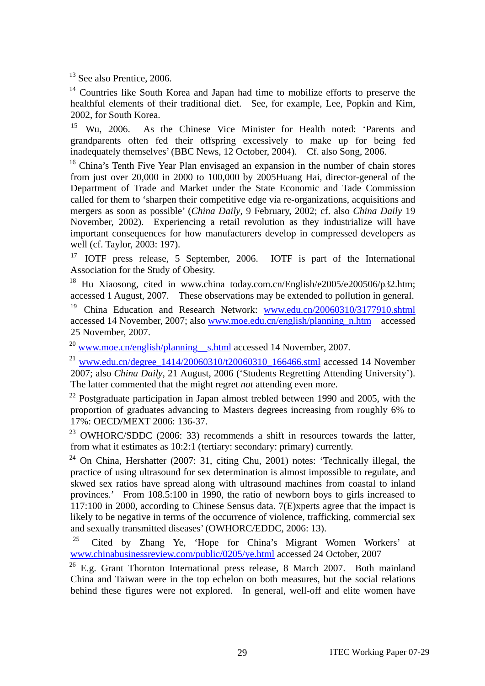<sup>13</sup> See also Prentice, 2006.

<sup>14</sup> Countries like South Korea and Japan had time to mobilize efforts to preserve the healthful elements of their traditional diet. See, for example, Lee, Popkin and Kim, 2002, for South Korea.

15 Wu, 2006. As the Chinese Vice Minister for Health noted: 'Parents and grandparents often fed their offspring excessively to make up for being fed inadequately themselves' (BBC News, 12 October, 2004). Cf. also Song, 2006.

<sup>16</sup> China's Tenth Five Year Plan envisaged an expansion in the number of chain stores from just over 20,000 in 2000 to 100,000 by 2005Huang Hai, director-general of the Department of Trade and Market under the State Economic and Tade Commission called for them to 'sharpen their competitive edge via re-organizations, acquisitions and mergers as soon as possible' (*China Daily*, 9 February, 2002; cf. also *China Daily* 19 November, 2002). Experiencing a retail revolution as they industrialize will have important consequences for how manufacturers develop in compressed developers as well (cf. Taylor, 2003: 197).

<sup>17</sup> IOTF press release, 5 September, 2006. IOTF is part of the International Association for the Study of Obesity.

<sup>18</sup> Hu Xiaosong, cited in www.china today.com.cn/English/e2005/e200506/p32.htm; accessed 1 August, 2007. These observations may be extended to pollution in general.

<sup>19</sup> China Education and Research Network: [www.edu.cn/20060310/3177910.shtml](http://www.edu.cn/20060310/3177910.shtml) accessed 14 November, 2007; also [www.moe.edu.cn/english/planning\\_n.htm](http://www.moe.edu.cn/english/planning_n.htm) accessed 25 November, 2007.

 $^{20}$  [www.moe.cn/english/planning](http://www.moe.cn/english/planning%EF%BC%BFs.html) [s.html](http://www.moe.cn/english/planning%EF%BC%BFs.html) accessed 14 November, 2007.

<sup>21</sup> www.edu.cn/degree  $1414/20060310/120060310$  166466.stml accessed 14 November 2007; also *China Daily*, 21 August, 2006 ('Students Regretting Attending University'). The latter commented that the might regret *not* attending even more.

 $^{22}$  Postgraduate participation in Japan almost trebled between 1990 and 2005, with the proportion of graduates advancing to Masters degrees increasing from roughly 6% to 17%: OECD/MEXT 2006: 136-37.

 $23$  OWHORC/SDDC (2006: 33) recommends a shift in resources towards the latter, from what it estimates as 10:2:1 (tertiary: secondary: primary) currently.

 $24$  On China, Hershatter (2007: 31, citing Chu, 2001) notes: 'Technically illegal, the practice of using ultrasound for sex determination is almost impossible to regulate, and skwed sex ratios have spread along with ultrasound machines from coastal to inland provinces.' From 108.5:100 in 1990, the ratio of newborn boys to girls increased to 117:100 in 2000, according to Chinese Sensus data. 7(E)xperts agree that the impact is likely to be negative in terms of the occurrence of violence, trafficking, commercial sex and sexually transmitted diseases' (OWHORC/EDDC, 2006: 13).

<sup>25</sup> Cited by Zhang Ye, 'Hope for China's Migrant Women Workers' at [www.chinabusinessreview.com/public/0205/ye.html](http://www.chinabusinessreview.com/public/0205/ye.html) accessed 24 October, 2007

 $26$  E.g. Grant Thornton International press release, 8 March 2007. Both mainland China and Taiwan were in the top echelon on both measures, but the social relations behind these figures were not explored. In general, well-off and elite women have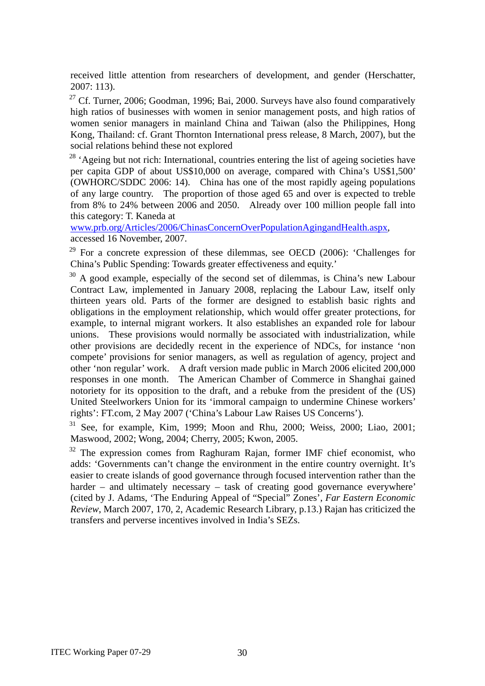received little attention from researchers of development, and gender (Herschatter, 2007: 113).

 $27$  Cf. Turner, 2006; Goodman, 1996; Bai, 2000. Surveys have also found comparatively high ratios of businesses with women in senior management posts, and high ratios of women senior managers in mainland China and Taiwan (also the Philippines, Hong Kong, Thailand: cf. Grant Thornton International press release, 8 March, 2007), but the social relations behind these not explored

 $28$  'Ageing but not rich: International, countries entering the list of ageing societies have per capita GDP of about US\$10,000 on average, compared with China's US\$1,500' (OWHORC/SDDC 2006: 14). China has one of the most rapidly ageing populations of any large country. The proportion of those aged 65 and over is expected to treble from 8% to 24% between 2006 and 2050. Already over 100 million people fall into this category: T. Kaneda at

[www.prb.org/Articles/2006/ChinasConcernOverPopulationAgingandHealth.aspx,](http://www.prb.org/Articles/2006/ChinasConcernOverPopulationAgingandHealth.aspx) accessed 16 November, 2007.

 $29$  For a concrete expression of these dilemmas, see OECD (2006): 'Challenges for China's Public Spending: Towards greater effectiveness and equity.'

 $30$  A good example, especially of the second set of dilemmas, is China's new Labour Contract Law, implemented in January 2008, replacing the Labour Law, itself only thirteen years old. Parts of the former are designed to establish basic rights and obligations in the employment relationship, which would offer greater protections, for example, to internal migrant workers. It also establishes an expanded role for labour unions. These provisions would normally be associated with industrialization, while other provisions are decidedly recent in the experience of NDCs, for instance 'non compete' provisions for senior managers, as well as regulation of agency, project and other 'non regular' work. A draft version made public in March 2006 elicited 200,000 responses in one month. The American Chamber of Commerce in Shanghai gained notoriety for its opposition to the draft, and a rebuke from the president of the (US) United Steelworkers Union for its 'immoral campaign to undermine Chinese workers' rights': FT.com, 2 May 2007 ('China's Labour Law Raises US Concerns').

31 See, for example, Kim, 1999; Moon and Rhu, 2000; Weiss, 2000; Liao, 2001; Maswood, 2002; Wong, 2004; Cherry, 2005; Kwon, 2005.

<sup>32</sup> The expression comes from Raghuram Rajan, former IMF chief economist, who adds: 'Governments can't change the environment in the entire country overnight. It's easier to create islands of good governance through focused intervention rather than the harder – and ultimately necessary – task of creating good governance everywhere' (cited by J. Adams, 'The Enduring Appeal of "Special" Zones', *Far Eastern Economic Review*, March 2007, 170, 2, Academic Research Library, p.13.) Rajan has criticized the transfers and perverse incentives involved in India's SEZs.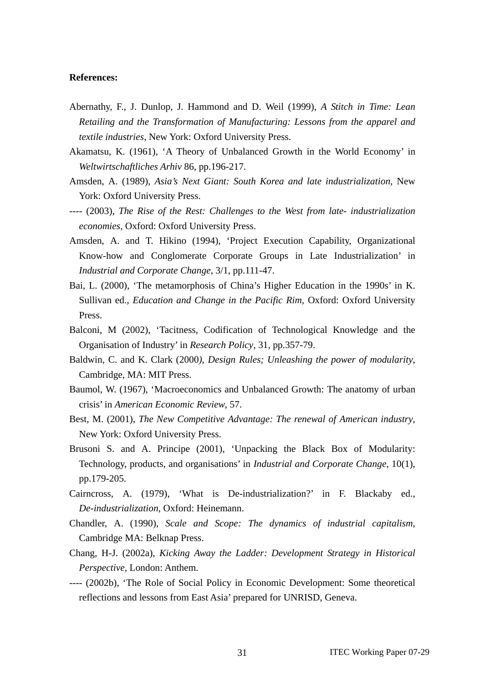#### **References:**

- Abernathy, F., J. Dunlop, J. Hammond and D. Weil (1999), *A Stitch in Time: Lean Retailing and the Transformation of Manufacturing: Lessons from the apparel and textile industries*, New York: Oxford University Press.
- Akamatsu, K. (1961), 'A Theory of Unbalanced Growth in the World Economy' in *Weltwirtschaftliches Arhiv* 86, pp.196-217.
- Amsden, A. (1989), *Asia's Next Giant: South Korea and late industrialization*, New York: Oxford University Press.
- ---- (2003), *The Rise of the Rest: Challenges to the West from late- industrialization economies,* Oxford: Oxford University Press.
- Amsden, A. and T. Hikino (1994), 'Project Execution Capability, Organizational Know-how and Conglomerate Corporate Groups in Late Industrialization' in *Industrial and Corporate Change*, 3/1, pp.111-47.
- Bai, L. (2000), 'The metamorphosis of China's Higher Education in the 1990s' in K. Sullivan ed., *Education and Change in the Pacific Rim*, Oxford: Oxford University Press.
- Balconi, M (2002), 'Tacitness, Codification of Technological Knowledge and the Organisation of Industry' in *Research Policy*, 31, pp.357-79.
- Baldwin, C. and K. Clark (2000*), Design Rules; Unleashing the power of modularity*, Cambridge, MA: MIT Press.
- Baumol, W. (1967), 'Macroeconomics and Unbalanced Growth: The anatomy of urban crisis' in *American Economic Review*, 57.
- Best, M. (2001), *The New Competitive Advantage: The renewal of American industry*, New York: Oxford University Press.
- Brusoni S. and A. Principe (2001), 'Unpacking the Black Box of Modularity: Technology, products, and organisations' in *Industrial and Corporate Change,* 10(1), pp.179-205.
- Cairncross, A. (1979), 'What is De-industrialization?' in F. Blackaby ed., *De-industrialization*, Oxford: Heinemann.
- Chandler, A. (1990), *Scale and Scope: The dynamics of industrial capitalism*, Cambridge MA: Belknap Press.
- Chang, H-J. (2002a), *Kicking Away the Ladder: Development Strategy in Historical Perspective*, London: Anthem.
- ---- (2002b), 'The Role of Social Policy in Economic Development: Some theoretical reflections and lessons from East Asia' prepared for UNRISD, Geneva.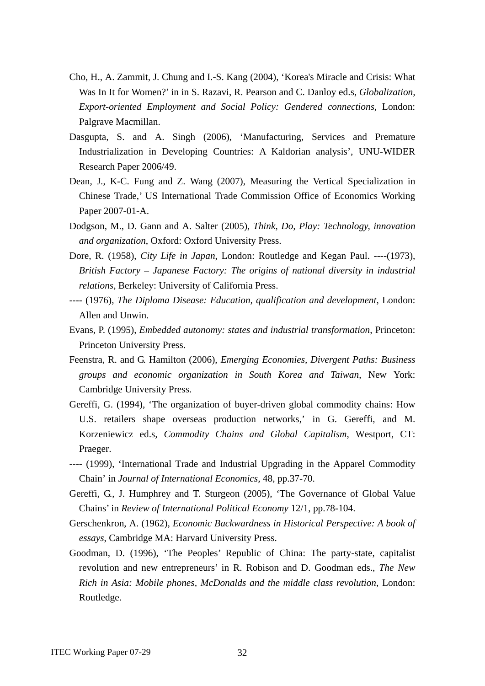- Cho, H., A. Zammit, J. Chung and I.-S. Kang (2004), 'Korea's Miracle and Crisis: What Was In It for Women?' in in S. Razavi, R. Pearson and C. Danloy ed.s, *Globalization, Export-oriented Employment and Social Policy: Gendered connections*, London: Palgrave Macmillan.
- Dasgupta, S. and A. Singh (2006), 'Manufacturing, Services and Premature Industrialization in Developing Countries: A Kaldorian analysis', UNU-WIDER Research Paper 2006/49.
- Dean, J., K-C. Fung and Z. Wang (2007), Measuring the Vertical Specialization in Chinese Trade,' US International Trade Commission Office of Economics Working Paper 2007-01-A.
- Dodgson, M., D. Gann and A. Salter (2005), *Think, Do, Play: Technology, innovation and organization*, Oxford: Oxford University Press.
- Dore, R. (1958), *City Life in Japan*, London: Routledge and Kegan Paul. ----(1973), *British Factory – Japanese Factory: The origins of national diversity in industrial relations*, Berkeley: University of California Press.
- ---- (1976), *The Diploma Disease: Education, qualification and development*, London: Allen and Unwin.
- Evans, P. (1995), *Embedded autonomy: states and industrial transformation*, Princeton: Princeton University Press.
- Feenstra, R. and G. Hamilton (2006), *Emerging Economies, Divergent Paths: Business groups and economic organization in South Korea and Taiwan*, New York: Cambridge University Press.
- Gereffi, G. (1994), 'The organization of buyer-driven global commodity chains: How U.S. retailers shape overseas production networks,' in G. Gereffi, and M. Korzeniewicz ed.s*, Commodity Chains and Global Capitalism*, Westport, CT: Praeger.
- ---- (1999), 'International Trade and Industrial Upgrading in the Apparel Commodity Chain' in *Journal of International Economics,* 48, pp.37-70.
- Gereffi, G., J. Humphrey and T. Sturgeon (2005), 'The Governance of Global Value Chains' in *Review of International Political Economy* 12/1, pp.78-104.
- Gerschenkron, A. (1962), *Economic Backwardness in Historical Perspective: A book of essays*, Cambridge MA: Harvard University Press.
- Goodman, D. (1996), 'The Peoples' Republic of China: The party-state, capitalist revolution and new entrepreneurs' in R. Robison and D. Goodman eds., *The New Rich in Asia: Mobile phones, McDonalds and the middle class revolution*, London: Routledge.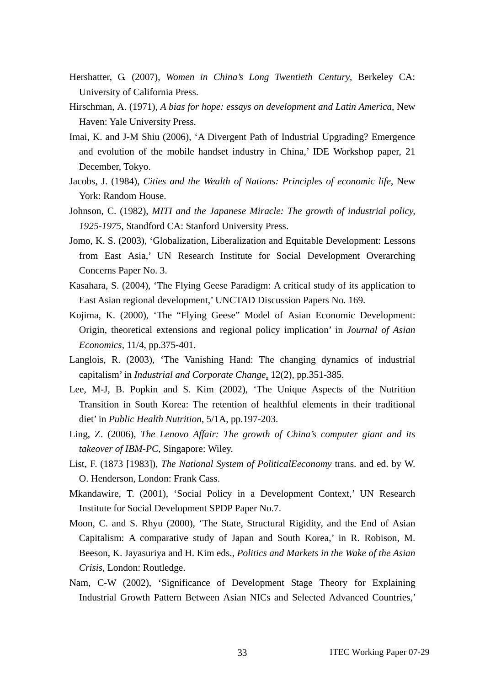- Hershatter, G. (2007), *Women in China's Long Twentieth Century*, Berkeley CA: University of California Press.
- Hirschman, A. (1971), *A bias for hope: essays on development and Latin America*, New Haven: Yale University Press.
- Imai, K. and J-M Shiu (2006), 'A Divergent Path of Industrial Upgrading? Emergence and evolution of the mobile handset industry in China,' IDE Workshop paper, 21 December, Tokyo.
- Jacobs, J. (1984), *Cities and the Wealth of Nations: Principles of economic life*, New York: Random House.
- Johnson, C. (1982), *MITI and the Japanese Miracle: The growth of industrial policy, 1925-1975*, Standford CA: Stanford University Press.
- Jomo, K. S. (2003), 'Globalization, Liberalization and Equitable Development: Lessons from East Asia,' UN Research Institute for Social Development Overarching Concerns Paper No. 3.
- Kasahara, S. (2004), 'The Flying Geese Paradigm: A critical study of its application to East Asian regional development,' UNCTAD Discussion Papers No. 169.
- Kojima, K. (2000), 'The "Flying Geese" Model of Asian Economic Development: Origin, theoretical extensions and regional policy implication' in *Journal of Asian Economics*, 11/4, pp.375-401.
- Langlois, R. (2003), 'The Vanishing Hand: The changing dynamics of industrial capitalism' in *Industrial and Corporate Change*, 12(2), pp.351-385.
- Lee, M-J, B. Popkin and S. Kim (2002), 'The Unique Aspects of the Nutrition Transition in South Korea: The retention of healthful elements in their traditional diet' in *Public Health Nutrition*, 5/1A, pp.197-203.
- Ling, Z. (2006), *The Lenovo Affair: The growth of China's computer giant and its takeover of IBM-PC*, Singapore: Wiley.
- List, F. (1873 [1983]), *The National System of PoliticalEeconomy* trans. and ed. by W. O. Henderson, London: Frank Cass.
- Mkandawire, T. (2001), 'Social Policy in a Development Context,' UN Research Institute for Social Development SPDP Paper No.7.
- Moon, C. and S. Rhyu (2000), 'The State, Structural Rigidity, and the End of Asian Capitalism: A comparative study of Japan and South Korea,' in R. Robison, M. Beeson, K. Jayasuriya and H. Kim eds., *Politics and Markets in the Wake of the Asian Crisis,* London: Routledge.
- Nam, C-W (2002), 'Significance of Development Stage Theory for Explaining Industrial Growth Pattern Between Asian NICs and Selected Advanced Countries,'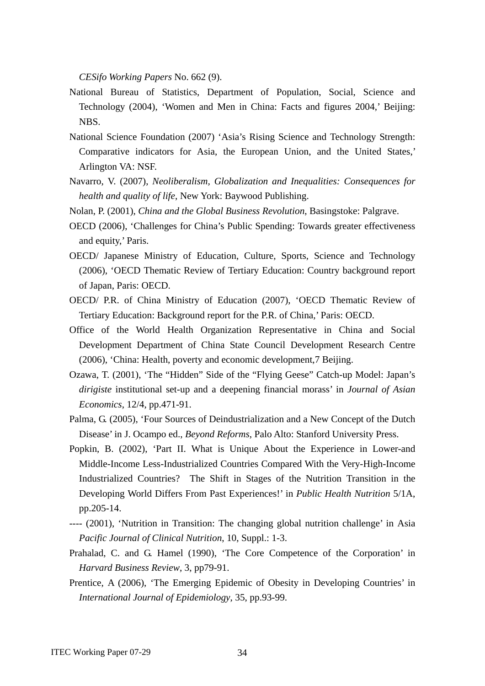*CESifo Working Papers* No. 662 (9).

- National Bureau of Statistics, Department of Population, Social, Science and Technology (2004), 'Women and Men in China: Facts and figures 2004,' Beijing: NBS.
- National Science Foundation (2007) 'Asia's Rising Science and Technology Strength: Comparative indicators for Asia, the European Union, and the United States,' Arlington VA: NSF.
- Navarro, V. (2007), *Neoliberalism, Globalization and Inequalities: Consequences for health and quality of life*, New York: Baywood Publishing.
- Nolan, P. (2001), *China and the Global Business Revolution*, Basingstoke: Palgrave.
- OECD (2006), 'Challenges for China's Public Spending: Towards greater effectiveness and equity,' Paris.
- OECD/ Japanese Ministry of Education, Culture, Sports, Science and Technology (2006), 'OECD Thematic Review of Tertiary Education: Country background report of Japan, Paris: OECD.
- OECD/ P.R. of China Ministry of Education (2007), 'OECD Thematic Review of Tertiary Education: Background report for the P.R. of China,' Paris: OECD.
- Office of the World Health Organization Representative in China and Social Development Department of China State Council Development Research Centre (2006), 'China: Health, poverty and economic development,7 Beijing.
- Ozawa, T. (2001), 'The "Hidden" Side of the "Flying Geese" Catch-up Model: Japan's *dirigiste* institutional set-up and a deepening financial morass' in *Journal of Asian Economics*, 12/4, pp.471-91.
- Palma, G. (2005), 'Four Sources of Deindustrialization and a New Concept of the Dutch Disease' in J. Ocampo ed., *Beyond Reforms*, Palo Alto: Stanford University Press.
- Popkin, B. (2002), 'Part II. What is Unique About the Experience in Lower-and Middle-Income Less-Industrialized Countries Compared With the Very-High-Income Industrialized Countries? The Shift in Stages of the Nutrition Transition in the Developing World Differs From Past Experiences!' in *Public Health Nutrition* 5/1A, pp.205-14.
- ---- (2001), 'Nutrition in Transition: The changing global nutrition challenge' in Asia *Pacific Journal of Clinical Nutrition*, 10, Suppl.: 1-3.
- Prahalad, C. and G. Hamel (1990), 'The Core Competence of the Corporation' in *Harvard Business Review*, 3, pp79-91.
- Prentice, A (2006), 'The Emerging Epidemic of Obesity in Developing Countries' in *International Journal of Epidemiology*, 35, pp.93-99.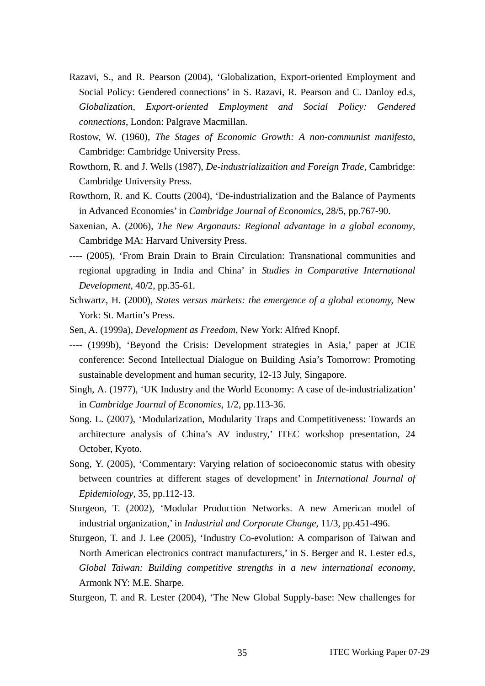- Razavi, S., and R. Pearson (2004), 'Globalization, Export-oriented Employment and Social Policy: Gendered connections' in S. Razavi, R. Pearson and C. Danloy ed.s, *Globalization, Export-oriented Employment and Social Policy: Gendered connections*, London: Palgrave Macmillan.
- Rostow, W. (1960), *The Stages of Economic Growth: A non-communist manifesto*, Cambridge: Cambridge University Press.
- Rowthorn, R. and J. Wells (1987), *De-industrializaition and Foreign Trade*, Cambridge: Cambridge University Press.
- Rowthorn, R. and K. Coutts (2004), 'De-industrialization and the Balance of Payments in Advanced Economies' in *Cambridge Journal of Economics*, 28/5, pp.767-90.
- Saxenian, A. (2006), *The New Argonauts: Regional advantage in a global economy*, Cambridge MA: Harvard University Press.
- ---- (2005), 'From Brain Drain to Brain Circulation: Transnational communities and regional upgrading in India and China' in *Studies in Comparative International Development*, 40/2, pp.35-61.
- Schwartz, H. (2000), *States versus markets: the emergence of a global economy,* New York: St. Martin's Press.
- Sen, A. (1999a), *Development as Freedom*, New York: Alfred Knopf.
- ---- (1999b), 'Beyond the Crisis: Development strategies in Asia,' paper at JCIE conference: Second Intellectual Dialogue on Building Asia's Tomorrow: Promoting sustainable development and human security, 12-13 July, Singapore.
- Singh, A. (1977), 'UK Industry and the World Economy: A case of de-industrialization' in *Cambridge Journal of Economics*, 1/2, pp.113-36.
- Song. L. (2007), 'Modularization, Modularity Traps and Competitiveness: Towards an architecture analysis of China's AV industry,' ITEC workshop presentation, 24 October, Kyoto.
- Song, Y. (2005), 'Commentary: Varying relation of socioeconomic status with obesity between countries at different stages of development' in *International Journal of Epidemiology*, 35, pp.112-13.
- Sturgeon, T. (2002), 'Modular Production Networks. A new American model of industrial organization,' in *Industrial and Corporate Change,* 11/3, pp.451-496.
- Sturgeon, T. and J. Lee (2005), 'Industry Co-evolution: A comparison of Taiwan and North American electronics contract manufacturers,' in S. Berger and R. Lester ed.s, *Global Taiwan: Building competitive strengths in a new international economy*, Armonk NY: M.E. Sharpe.

Sturgeon, T. and R. Lester (2004), 'The New Global Supply-base: New challenges for